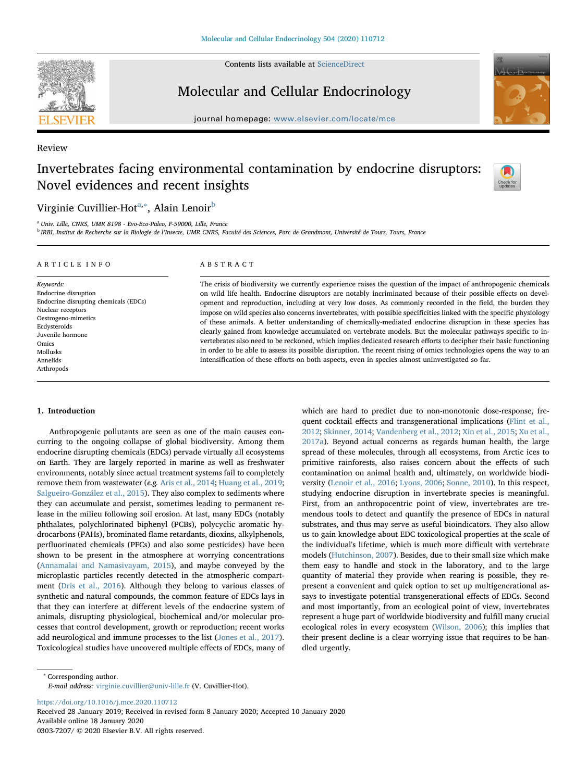

Contents lists available at [ScienceDirect](http://www.sciencedirect.com/science/journal/03037207)

Molecular and Cellular Endocrinology





Review

# Invertebrates facing environmental contamination by endocrine disruptors: Novel evidences and recent insights



## Virginie Cuvillier-Hot<sup>[a](#page-0-0),[∗](#page-0-1)</sup>, Alain Lenoir<sup>[b](#page-0-2)</sup>

<span id="page-0-0"></span><sup>a</sup> Univ. Lille, CNRS, UMR 8198 - Evo-Eco-Paleo, F-59000, Lille, France

<span id="page-0-2"></span><sup>b</sup> IRBI, Institut de Recherche sur la Biologie de l'Insecte, UMR CNRS, Faculté des Sciences, Parc de Grandmont, Université de Tours, Tours, France

#### ARTICLE INFO

Keywords: Endocrine disruption Endocrine disrupting chemicals (EDCs) Nuclear receptors Oestrogeno-mimetics Ecdysteroids Juvenile hormone Omics Mollusks Annelids Arthropods

#### ABSTRACT

The crisis of biodiversity we currently experience raises the question of the impact of anthropogenic chemicals on wild life health. Endocrine disruptors are notably incriminated because of their possible effects on development and reproduction, including at very low doses. As commonly recorded in the field, the burden they impose on wild species also concerns invertebrates, with possible specificities linked with the specific physiology of these animals. A better understanding of chemically-mediated endocrine disruption in these species has clearly gained from knowledge accumulated on vertebrate models. But the molecular pathways specific to invertebrates also need to be reckoned, which implies dedicated research efforts to decipher their basic functioning in order to be able to assess its possible disruption. The recent rising of omics technologies opens the way to an intensification of these efforts on both aspects, even in species almost uninvestigated so far.

#### 1. Introduction

Anthropogenic pollutants are seen as one of the main causes concurring to the ongoing collapse of global biodiversity. Among them endocrine disrupting chemicals (EDCs) pervade virtually all ecosystems on Earth. They are largely reported in marine as well as freshwater environments, notably since actual treatment systems fail to completely remove them from wastewater (e.g. [Aris et al., 2014;](#page-7-0) [Huang et al., 2019](#page-8-0); [Salgueiro-González et al., 2015\)](#page-10-0). They also complex to sediments where they can accumulate and persist, sometimes leading to permanent release in the milieu following soil erosion. At last, many EDCs (notably phthalates, polychlorinated biphenyl (PCBs), polycyclic aromatic hydrocarbons (PAHs), brominated flame retardants, dioxins, alkylphenols, perfluorinated chemicals (PFCs) and also some pesticides) have been shown to be present in the atmosphere at worrying concentrations ([Annamalai and Namasivayam, 2015\)](#page-7-1), and maybe conveyed by the microplastic particles recently detected in the atmospheric compartment [\(Dris et al., 2016\)](#page-7-2). Although they belong to various classes of synthetic and natural compounds, the common feature of EDCs lays in that they can interfere at different levels of the endocrine system of animals, disrupting physiological, biochemical and/or molecular processes that control development, growth or reproduction; recent works add neurological and immune processes to the list ([Jones et al., 2017](#page-8-1)). Toxicological studies have uncovered multiple effects of EDCs, many of

which are hard to predict due to non-monotonic dose-response, frequent cocktail effects and transgenerational implications [\(Flint et al.,](#page-7-3) [2012;](#page-7-3) [Skinner, 2014;](#page-10-1) [Vandenberg et al., 2012](#page-10-2); [Xin et al., 2015;](#page-10-3) [Xu et al.,](#page-10-4) [2017a\)](#page-10-4). Beyond actual concerns as regards human health, the large spread of these molecules, through all ecosystems, from Arctic ices to primitive rainforests, also raises concern about the effects of such contamination on animal health and, ultimately, on worldwide biodiversity ([Lenoir et al., 2016](#page-9-0); [Lyons, 2006](#page-9-1); [Sonne, 2010\)](#page-10-5). In this respect, studying endocrine disruption in invertebrate species is meaningful. First, from an anthropocentric point of view, invertebrates are tremendous tools to detect and quantify the presence of EDCs in natural substrates, and thus may serve as useful bioindicators. They also allow us to gain knowledge about EDC toxicological properties at the scale of the individual's lifetime, which is much more difficult with vertebrate models ([Hutchinson, 2007](#page-8-2)). Besides, due to their small size which make them easy to handle and stock in the laboratory, and to the large quantity of material they provide when rearing is possible, they represent a convenient and quick option to set up multigenerational assays to investigate potential transgenerational effects of EDCs. Second and most importantly, from an ecological point of view, invertebrates represent a huge part of worldwide biodiversity and fulfill many crucial ecological roles in every ecosystem ([Wilson, 2006](#page-10-6)); this implies that their present decline is a clear worrying issue that requires to be handled urgently.

<https://doi.org/10.1016/j.mce.2020.110712>

Received 28 January 2019; Received in revised form 8 January 2020; Accepted 10 January 2020 Available online 18 January 2020 0303-7207/ © 2020 Elsevier B.V. All rights reserved.

<span id="page-0-1"></span><sup>∗</sup> Corresponding author. E-mail address: [virginie.cuvillier@univ-lille.fr](mailto:virginie.cuvillier@univ-lille.fr) (V. Cuvillier-Hot).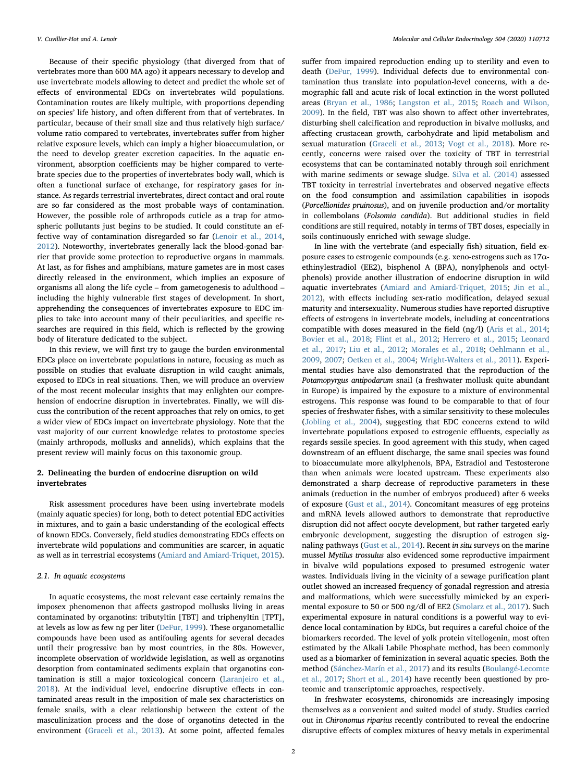Because of their specific physiology (that diverged from that of vertebrates more than 600 MA ago) it appears necessary to develop and use invertebrate models allowing to detect and predict the whole set of effects of environmental EDCs on invertebrates wild populations. Contamination routes are likely multiple, with proportions depending on species' life history, and often different from that of vertebrates. In particular, because of their small size and thus relatively high surface/ volume ratio compared to vertebrates, invertebrates suffer from higher relative exposure levels, which can imply a higher bioaccumulation, or the need to develop greater excretion capacities. In the aquatic environment, absorption coefficients may be higher compared to vertebrate species due to the properties of invertebrates body wall, which is often a functional surface of exchange, for respiratory gases for instance. As regards terrestrial invertebrates, direct contact and oral route are so far considered as the most probable ways of contamination. However, the possible role of arthropods cuticle as a trap for atmospheric pollutants just begins to be studied. It could constitute an effective way of contamination disregarded so far [\(Lenoir et al., 2014](#page-9-2), [2012\)](#page-9-3). Noteworthy, invertebrates generally lack the blood-gonad barrier that provide some protection to reproductive organs in mammals. At last, as for fishes and amphibians, mature gametes are in most cases directly released in the environment, which implies an exposure of organisms all along the life cycle – from gametogenesis to adulthood – including the highly vulnerable first stages of development. In short, apprehending the consequences of invertebrates exposure to EDC implies to take into account many of their peculiarities, and specific researches are required in this field, which is reflected by the growing body of literature dedicated to the subject.

In this review, we will first try to gauge the burden environmental EDCs place on invertebrate populations in nature, focusing as much as possible on studies that evaluate disruption in wild caught animals, exposed to EDCs in real situations. Then, we will produce an overview of the most recent molecular insights that may enlighten our comprehension of endocrine disruption in invertebrates. Finally, we will discuss the contribution of the recent approaches that rely on omics, to get a wider view of EDCs impact on invertebrate physiology. Note that the vast majority of our current knowledge relates to protostome species (mainly arthropods, mollusks and annelids), which explains that the present review will mainly focus on this taxonomic group.

#### 2. Delineating the burden of endocrine disruption on wild invertebrates

Risk assessment procedures have been using invertebrate models (mainly aquatic species) for long, both to detect potential EDC activities in mixtures, and to gain a basic understanding of the ecological effects of known EDCs. Conversely, field studies demonstrating EDCs effects on invertebrate wild populations and communities are scarcer, in aquatic as well as in terrestrial ecosystems [\(Amiard and Amiard-Triquet, 2015](#page-7-4)).

#### 2.1. In aquatic ecosystems

In aquatic ecosystems, the most relevant case certainly remains the imposex phenomenon that affects gastropod mollusks living in areas contaminated by organotins: tributyltin [TBT] and triphenyltin [TPT], at levels as low as few ng per liter [\(DeFur, 1999\)](#page-7-5). These organometallic compounds have been used as antifouling agents for several decades until their progressive ban by most countries, in the 80s. However, incomplete observation of worldwide legislation, as well as organotins desorption from contaminated sediments explain that organotins contamination is still a major toxicological concern [\(Laranjeiro et al.,](#page-8-3) [2018\)](#page-8-3). At the individual level, endocrine disruptive effects in contaminated areas result in the imposition of male sex characteristics on female snails, with a clear relationship between the extent of the masculinization process and the dose of organotins detected in the environment ([Graceli et al., 2013\)](#page-8-4). At some point, affected females

suffer from impaired reproduction ending up to sterility and even to death ([DeFur, 1999\)](#page-7-5). Individual defects due to environmental contamination thus translate into population-level concerns, with a demographic fall and acute risk of local extinction in the worst polluted areas ([Bryan et al., 1986;](#page-7-6) [Langston et al., 2015;](#page-8-5) [Roach and Wilson,](#page-9-4) [2009\)](#page-9-4). In the field, TBT was also shown to affect other invertebrates, disturbing shell calcification and reproduction in bivalve mollusks, and affecting crustacean growth, carbohydrate and lipid metabolism and sexual maturation ([Graceli et al., 2013](#page-8-4); [Vogt et al., 2018](#page-10-7)). More recently, concerns were raised over the toxicity of TBT in terrestrial ecosystems that can be contaminated notably through soil enrichment with marine sediments or sewage sludge. [Silva et al. \(2014\)](#page-10-8) assessed TBT toxicity in terrestrial invertebrates and observed negative effects on the food consumption and assimilation capabilities in isopods (Porcellionides pruinosus), and on juvenile production and/or mortality in collembolans (Folsomia candida). But additional studies in field conditions are still required, notably in terms of TBT doses, especially in soils continuously enriched with sewage sludge.

In line with the vertebrate (and especially fish) situation, field exposure cases to estrogenic compounds (e.g. xeno-estrogens such as 17αethinylestradiol (EE2), bisphenol A (BPA), nonylphenols and octylphenols) provide another illustration of endocrine disruption in wild aquatic invertebrates [\(Amiard and Amiard-Triquet, 2015](#page-7-4); [Jin et al.,](#page-8-6) [2012\)](#page-8-6), with effects including sex-ratio modification, delayed sexual maturity and intersexuality. Numerous studies have reported disruptive effects of estrogens in invertebrate models, including at concentrations compatible with doses measured in the field (ng/l) ([Aris et al., 2014](#page-7-0); [Bovier et al., 2018;](#page-7-7) [Flint et al., 2012;](#page-7-3) [Herrero et al., 2015](#page-8-7); [Leonard](#page-9-5) [et al., 2017;](#page-9-5) [Liu et al., 2012;](#page-9-6) [Morales et al., 2018](#page-9-7); [Oehlmann et al.,](#page-9-8) [2009,](#page-9-8) [2007;](#page-9-9) Oetken [et al., 2004;](#page-9-10) [Wright-Walters et al., 2011](#page-10-9)). Experimental studies have also demonstrated that the reproduction of the Potamopyrgus antipodarum snail (a freshwater mollusk quite abundant in Europe) is impaired by the exposure to a mixture of environmental estrogens. This response was found to be comparable to that of four species of freshwater fishes, with a similar sensitivity to these molecules ([Jobling et al., 2004\)](#page-8-8), suggesting that EDC concerns extend to wild invertebrate populations exposed to estrogenic effluents, especially as regards sessile species. In good agreement with this study, when caged downstream of an effluent discharge, the same snail species was found to bioaccumulate more alkylphenols, BPA, Estradiol and Testosterone than when animals were located upstream. These experiments also demonstrated a sharp decrease of reproductive parameters in these animals (reduction in the number of embryos produced) after 6 weeks of exposure ([Gust et al., 2014](#page-8-9)). Concomitant measures of egg proteins and mRNA levels allowed authors to demonstrate that reproductive disruption did not affect oocyte development, but rather targeted early embryonic development, suggesting the disruption of estrogen signaling pathways ([Gust et al., 2014](#page-8-9)). Recent in situ surveys on the marine mussel Mytilus trossulus also evidenced some reproductive impairment in bivalve wild populations exposed to presumed estrogenic water wastes. Individuals living in the vicinity of a sewage purification plant outlet showed an increased frequency of gonadal regression and atresia and malformations, which were successfully mimicked by an experimental exposure to 50 or 500 ng/dl of EE2 ([Smolarz et al., 2017](#page-10-10)). Such experimental exposure in natural conditions is a powerful way to evidence local contamination by EDCs, but requires a careful choice of the biomarkers recorded. The level of yolk protein vitellogenin, most often estimated by the Alkali Labile Phosphate method, has been commonly used as a biomarker of feminization in several aquatic species. Both the method ([Sánchez-Marín et al., 2017](#page-10-11)) and its results ([Boulangé-Lecomte](#page-7-8) [et al., 2017](#page-7-8); [Short et al., 2014\)](#page-10-12) have recently been questioned by proteomic and transcriptomic approaches, respectively.

In freshwater ecosystems, chironomids are increasingly imposing themselves as a convenient and suited model of study. Studies carried out in Chironomus riparius recently contributed to reveal the endocrine disruptive effects of complex mixtures of heavy metals in experimental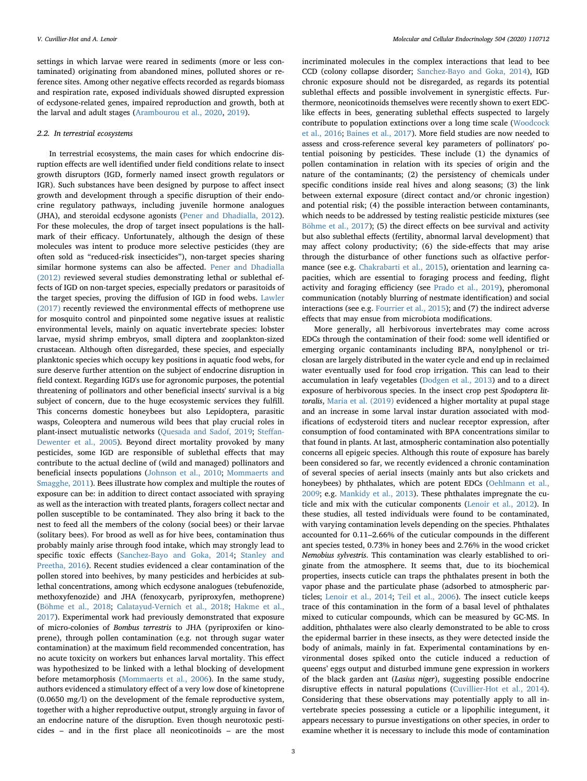settings in which larvae were reared in sediments (more or less contaminated) originating from abandoned mines, polluted shores or reference sites. Among other negative effects recorded as regards biomass and respiration rate, exposed individuals showed disrupted expression of ecdysone-related genes, impaired reproduction and growth, both at the larval and adult stages ([Arambourou et al., 2020,](#page-7-9) [2019\)](#page-7-10).

#### 2.2. In terrestrial ecosystems

In terrestrial ecosystems, the main cases for which endocrine disruption effects are well identified under field conditions relate to insect growth disruptors (IGD, formerly named insect growth regulators or IGR). Such substances have been designed by purpose to affect insect growth and development through a specific disruption of their endocrine regulatory pathways, including juvenile hormone analogues (JHA), and steroidal ecdysone agonists ([Pener and Dhadialla, 2012](#page-9-11)). For these molecules, the drop of target insect populations is the hallmark of their efficacy. Unfortunately, although the design of these molecules was intent to produce more selective pesticides (they are often sold as "reduced-risk insecticides"), non-target species sharing similar hormone systems can also be affected. [Pener and Dhadialla](#page-9-11) [\(2012\)](#page-9-11) reviewed several studies demonstrating lethal or sublethal effects of IGD on non-target species, especially predators or parasitoids of the target species, proving the diffusion of IGD in food webs. [Lawler](#page-8-10) [\(2017\)](#page-8-10) recently reviewed the environmental effects of methoprene use for mosquito control and pinpointed some negative issues at realistic environmental levels, mainly on aquatic invertebrate species: lobster larvae, mysid shrimp embryos, small diptera and zooplankton-sized crustacean. Although often disregarded, these species, and especially planktonic species which occupy key positions in aquatic food webs, for sure deserve further attention on the subject of endocrine disruption in field context. Regarding IGD's use for agronomic purposes, the potential threatening of pollinators and other beneficial insects' survival is a big subject of concern, due to the huge ecosystemic services they fulfill. This concerns domestic honeybees but also Lepidoptera, parasitic wasps, Coleoptera and numerous wild bees that play crucial roles in plant-insect mutualistic networks [\(Quesada and Sadof, 2019](#page-9-12); Steff[an-](#page-10-13)[Dewenter et al., 2005\)](#page-10-13). Beyond direct mortality provoked by many pesticides, some IGD are responsible of sublethal effects that may contribute to the actual decline of (wild and managed) pollinators and beneficial insects populations ([Johnson et al., 2010;](#page-8-11) [Mommaerts and](#page-9-13) [Smagghe, 2011\)](#page-9-13). Bees illustrate how complex and multiple the routes of exposure can be: in addition to direct contact associated with spraying as well as the interaction with treated plants, foragers collect nectar and pollen susceptible to be contaminated. They also bring it back to the nest to feed all the members of the colony (social bees) or their larvae (solitary bees). For brood as well as for hive bees, contamination thus probably mainly arise through food intake, which may strongly lead to specific toxic effects [\(Sanchez-Bayo and Goka, 2014](#page-10-14); [Stanley and](#page-10-15) [Preetha, 2016](#page-10-15)). Recent studies evidenced a clear contamination of the pollen stored into beehives, by many pesticides and herbicides at sublethal concentrations, among which ecdysone analogues (tebufenozide, methoxyfenozide) and JHA (fenoxycarb, pyriproxyfen, methoprene) ([Böhme et al., 2018;](#page-7-11) [Calatayud-Vernich et al., 2018;](#page-7-12) [Hakme et al.,](#page-8-12) [2017\)](#page-8-12). Experimental work had previously demonstrated that exposure of micro-colonies of Bombus terrestris to JHA (pyriproxifen or kinoprene), through pollen contamination (e.g. not through sugar water contamination) at the maximum field recommended concentration, has no acute toxicity on workers but enhances larval mortality. This effect was hypothesized to be linked with a lethal blocking of development before metamorphosis ([Mommaerts et al., 2006\)](#page-9-14). In the same study, authors evidenced a stimulatory effect of a very low dose of kinetoprene (0.0650 mg/l) on the development of the female reproductive system, together with a higher reproductive output, strongly arguing in favor of an endocrine nature of the disruption. Even though neurotoxic pesticides – and in the first place all neonicotinoids – are the most incriminated molecules in the complex interactions that lead to bee CCD (colony collapse disorder; [Sanchez-Bayo and Goka, 2014\)](#page-10-14), IGD chronic exposure should not be disregarded, as regards its potential sublethal effects and possible involvement in synergistic effects. Furthermore, neonicotinoids themselves were recently shown to exert EDClike effects in bees, generating sublethal effects suspected to largely contribute to population extinctions over a long time scale [\(Woodcock](#page-10-16) [et al., 2016](#page-10-16); [Baines et al., 2017\)](#page-7-13). More field studies are now needed to assess and cross-reference several key parameters of pollinators' potential poisoning by pesticides. These include (1) the dynamics of pollen contamination in relation with its species of origin and the nature of the contaminants; (2) the persistency of chemicals under specific conditions inside real hives and along seasons; (3) the link between external exposure (direct contact and/or chronic ingestion) and potential risk; (4) the possible interaction between contaminants, which needs to be addressed by testing realistic pesticide mixtures (see [Böhme et al., 2017\)](#page-7-14); (5) the direct effects on bee survival and activity but also sublethal effects (fertility, abnormal larval development) that may affect colony productivity; (6) the side-effects that may arise through the disturbance of other functions such as olfactive performance (see e.g. [Chakrabarti et al., 2015\)](#page-7-15), orientation and learning capacities, which are essential to foraging process and feeding, flight activity and foraging efficiency (see [Prado et al., 2019\)](#page-9-15), pheromonal communication (notably blurring of nestmate identification) and social interactions (see e.g. [Fourrier et al., 2015](#page-7-16)); and (7) the indirect adverse effects that may ensue from microbiota modifications.

More generally, all herbivorous invertebrates may come across EDCs through the contamination of their food: some well identified or emerging organic contaminants including BPA, nonylphenol or triclosan are largely distributed in the water cycle and end up in reclaimed water eventually used for food crop irrigation. This can lead to their accumulation in leafy vegetables ([Dodgen et al., 2013](#page-7-17)) and to a direct exposure of herbivorous species. In the insect crop pest Spodoptera littoralis, [Maria et al. \(2019\)](#page-9-16) evidenced a higher mortality at pupal stage and an increase in some larval instar duration associated with modifications of ecdysteroid titers and nuclear receptor expression, after consumption of food contaminated with BPA concentrations similar to that found in plants. At last, atmospheric contamination also potentially concerns all epigeic species. Although this route of exposure has barely been considered so far, we recently evidenced a chronic contamination of several species of aerial insects (mainly ants but also crickets and honeybees) by phthalates, which are potent EDCs [\(Oehlmann et al.,](#page-9-8) [2009;](#page-9-8) e.g. [Mankidy et al., 2013\)](#page-9-17). These phthalates impregnate the cuticle and mix with the cuticular components [\(Lenoir et al., 2012](#page-9-3)). In these studies, all tested individuals were found to be contaminated, with varying contamination levels depending on the species. Phthalates accounted for 0.11–2.66% of the cuticular compounds in the different ant species tested, 0.73% in honey bees and 2.76% in the wood cricket Nemobius sylvestris. This contamination was clearly established to originate from the atmosphere. It seems that, due to its biochemical properties, insects cuticle can traps the phthalates present in both the vapor phase and the particulate phase (adsorbed to atmospheric particles; [Lenoir et al., 2014](#page-9-2); [Teil et al., 2006\)](#page-10-17). The insect cuticle keeps trace of this contamination in the form of a basal level of phthalates mixed to cuticular compounds, which can be measured by GC-MS. In addition, phthalates were also clearly demonstrated to be able to cross the epidermal barrier in these insects, as they were detected inside the body of animals, mainly in fat. Experimental contaminations by environmental doses spiked onto the cuticle induced a reduction of queens' eggs output and disturbed immune gene expression in workers of the black garden ant (Lasius niger), suggesting possible endocrine disruptive effects in natural populations ([Cuvillier-Hot et al., 2014](#page-7-18)). Considering that these observations may potentially apply to all invertebrate species possessing a cuticle or a lipophilic integument, it appears necessary to pursue investigations on other species, in order to examine whether it is necessary to include this mode of contamination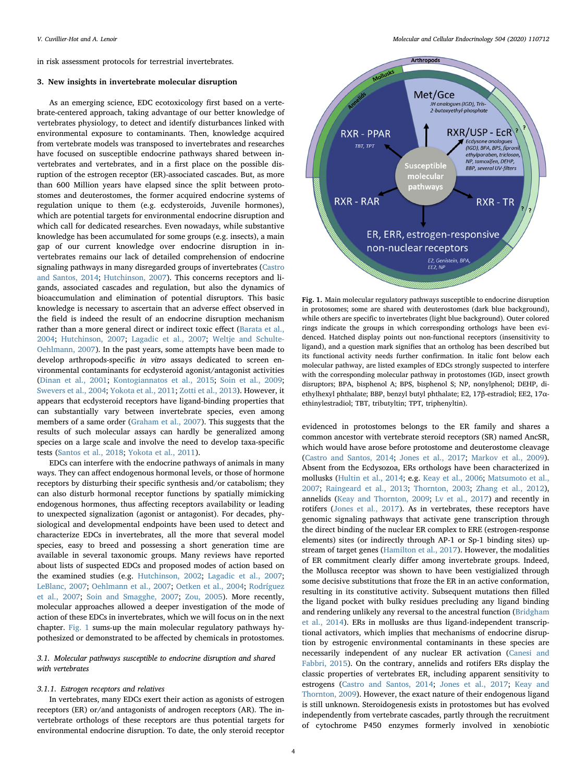in risk assessment protocols for terrestrial invertebrates.

#### 3. New insights in invertebrate molecular disruption

As an emerging science, EDC ecotoxicology first based on a vertebrate-centered approach, taking advantage of our better knowledge of vertebrates physiology, to detect and identify disturbances linked with environmental exposure to contaminants. Then, knowledge acquired from vertebrate models was transposed to invertebrates and researches have focused on susceptible endocrine pathways shared between invertebrates and vertebrates, and in a first place on the possible disruption of the estrogen receptor (ER)-associated cascades. But, as more than 600 Million years have elapsed since the split between protostomes and deuterostomes, the former acquired endocrine systems of regulation unique to them (e.g. ecdysteroids, Juvenile hormones), which are potential targets for environmental endocrine disruption and which call for dedicated researches. Even nowadays, while substantive knowledge has been accumulated for some groups (e.g. insects), a main gap of our current knowledge over endocrine disruption in invertebrates remains our lack of detailed comprehension of endocrine signaling pathways in many disregarded groups of invertebrates [\(Castro](#page-7-19) [and Santos, 2014](#page-7-19); [Hutchinson, 2007](#page-8-2)). This concerns receptors and ligands, associated cascades and regulation, but also the dynamics of bioaccumulation and elimination of potential disruptors. This basic knowledge is necessary to ascertain that an adverse effect observed in the field is indeed the result of an endocrine disruption mechanism rather than a more general direct or indirect toxic effect [\(Barata et al.,](#page-7-20) [2004;](#page-7-20) [Hutchinson, 2007](#page-8-2); [Lagadic et al., 2007](#page-8-13); [Weltje and Schulte-](#page-10-18)[Oehlmann, 2007\)](#page-10-18). In the past years, some attempts have been made to develop arthropods-specific in vitro assays dedicated to screen environmental contaminants for ecdysteroid agonist/antagonist activities ([Dinan et al., 2001](#page-7-21); [Kontogiannatos et al., 2015](#page-8-14); [Soin et al., 2009](#page-10-19); [Swevers et al., 2004;](#page-10-20) [Yokota et al., 2011](#page-10-21); [Zotti et al., 2013](#page-10-22)). However, it appears that ecdysteroid receptors have ligand-binding properties that can substantially vary between invertebrate species, even among members of a same order [\(Graham et al., 2007](#page-8-15)). This suggests that the results of such molecular assays can hardly be generalized among species on a large scale and involve the need to develop taxa-specific tests ([Santos et al., 2018](#page-10-23); [Yokota et al., 2011](#page-10-21)).

EDCs can interfere with the endocrine pathways of animals in many ways. They can affect endogenous hormonal levels, or those of hormone receptors by disturbing their specific synthesis and/or catabolism; they can also disturb hormonal receptor functions by spatially mimicking endogenous hormones, thus affecting receptors availability or leading to unexpected signalization (agonist or antagonist). For decades, physiological and developmental endpoints have been used to detect and characterize EDCs in invertebrates, all the more that several model species, easy to breed and possessing a short generation time are available in several taxonomic groups. Many reviews have reported about lists of suspected EDCs and proposed modes of action based on the examined studies (e.g. [Hutchinson, 2002;](#page-8-16) [Lagadic et al., 2007](#page-8-13); [LeBlanc,](#page-9-18) 2007; [Oehlmann et al., 2007;](#page-9-9) [Oetken et al., 2004;](#page-9-10) [Rodríguez](#page-10-24) [et al., 2007;](#page-10-24) [Soin and Smagghe, 2007](#page-10-25); [Zou, 2005\)](#page-10-26). More recently, molecular approaches allowed a deeper investigation of the mode of action of these EDCs in invertebrates, which we will focus on in the next chapter. [Fig. 1](#page-3-0) sums-up the main molecular regulatory pathways hypothesized or demonstrated to be affected by chemicals in protostomes.

### 3.1. Molecular pathways susceptible to endocrine disruption and shared with vertebrates

#### 3.1.1. Estrogen receptors and relatives

In vertebrates, many EDCs exert their action as agonists of estrogen receptors (ER) or/and antagonists of androgen receptors (AR). The invertebrate orthologs of these receptors are thus potential targets for environmental endocrine disruption. To date, the only steroid receptor

V. Cuvillier-Hot and A. Lenoir *Molecular and Cellular Endocrinology 504 (2020) 110712*

<span id="page-3-0"></span>

Fig. 1. Main molecular regulatory pathways susceptible to endocrine disruption in protosomes; some are shared with deuterostomes (dark blue background), while others are specific to invertebrates (light blue background). Outer colored rings indicate the groups in which corresponding orthologs have been evidenced. Hatched display points out non-functional receptors (insensitivity to ligand), and a question mark signifies that an ortholog has been described but its functional activity needs further confirmation. In italic font below each molecular pathway, are listed examples of EDCs strongly suspected to interfere with the corresponding molecular pathway in protostomes (IGD, insect growth disruptors; BPA, bisphenol A; BPS, bisphenol S; NP, nonylphenol; DEHP, diethylhexyl phthalate; BBP, benzyl butyl phthalate; E2, 17β-estradiol; EE2, 17αethinylestradiol; TBT, tributyltin; TPT, triphenyltin).

evidenced in protostomes belongs to the ER family and shares a common ancestor with vertebrate steroid receptors (SR) named AncSR, which would have arose before protostome and deuterostome cleavage ([Castro and Santos, 2014;](#page-7-19) [Jones et al., 2017](#page-8-1); [Markov et al., 2009](#page-9-19)). Absent from the Ecdysozoa, ERs orthologs have been characterized in mollusks [\(Hultin et al., 2014](#page-8-17); e.g. [Keay et al., 2006](#page-8-18); [Matsumoto et al.,](#page-9-20) [2007;](#page-9-20) [Raingeard et al., 2013;](#page-9-21) [Thornton, 2003](#page-10-27); [Zhang et al., 2012](#page-10-28)), annelids [\(Keay and Thornton, 2009](#page-8-19); [Lv et al., 2017\)](#page-9-22) and recently in rotifers ([Jones et al., 2017](#page-8-1)). As in vertebrates, these receptors have genomic signaling pathways that activate gene transcription through the direct binding of the nuclear ER complex to ERE (estrogen-response elements) sites (or indirectly through AP-1 or Sp-1 binding sites) upstream of target genes [\(Hamilton et al., 2017](#page-8-20)). However, the modalities of ER commitment clearly differ among invertebrate groups. Indeed, the Mollusca receptor was shown to have been vestigialized through some decisive substitutions that froze the ER in an active conformation, resulting in its constitutive activity. Subsequent mutations then filled the ligand pocket with bulky residues precluding any ligand binding and rendering unlikely any reversal to the ancestral function [\(Bridgham](#page-7-22) [et al., 2014\)](#page-7-22). ERs in mollusks are thus ligand-independent transcriptional activators, which implies that mechanisms of endocrine disruption by estrogenic environmental contaminants in these species are necessarily independent of any nuclear ER activation ([Canesi and](#page-7-23) [Fabbri, 2015\)](#page-7-23). On the contrary, annelids and rotifers ERs display the classic properties of vertebrates ER, including apparent sensitivity to estrogens [\(Castro and Santos, 2014;](#page-7-19) [Jones et al., 2017;](#page-8-1) [Keay and](#page-8-19) [Thornton, 2009\)](#page-8-19). However, the exact nature of their endogenous ligand is still unknown. Steroidogenesis exists in protostomes but has evolved independently from vertebrate cascades, partly through the recruitment of cytochrome P450 enzymes formerly involved in xenobiotic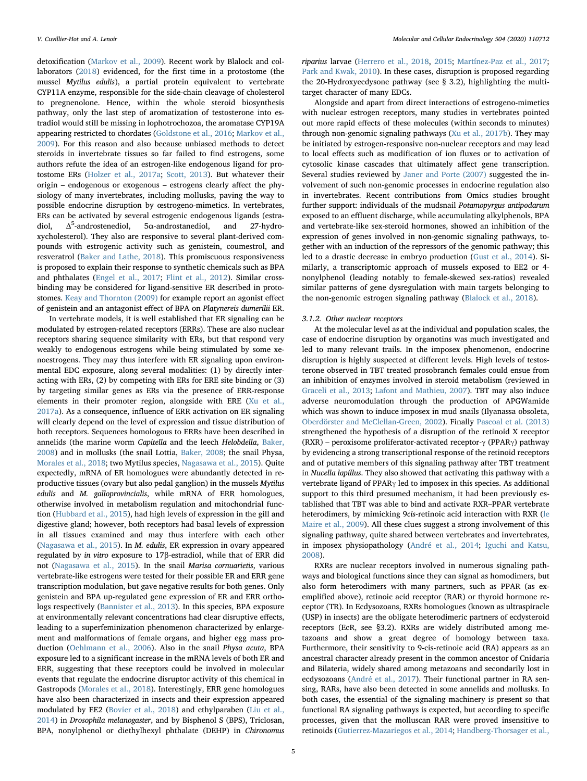detoxification [\(Markov et al., 2009](#page-9-19)). Recent work by Blalock and collaborators [\(2018](#page-7-24)) evidenced, for the first time in a protostome (the mussel Mytilus edulis), a partial protein equivalent to vertebrate CYP11A enzyme, responsible for the side-chain cleavage of cholesterol to pregnenolone. Hence, within the whole steroid biosynthesis pathway, only the last step of aromatization of testosterone into estradiol would still be missing in lophotrochozoa, the aromatase CYP19A appearing restricted to chordates ([Goldstone et al., 2016;](#page-8-21) [Markov et al.,](#page-9-19) [2009\)](#page-9-19). For this reason and also because unbiased methods to detect steroids in invertebrate tissues so far failed to find estrogens, some authors refute the idea of an estrogen-like endogenous ligand for protostome ERs [\(Holzer et al., 2017a](#page-8-22); [Scott, 2013\)](#page-10-29). But whatever their origin – endogenous or exogenous – estrogens clearly affect the physiology of many invertebrates, including mollusks, paving the way to possible endocrine disruption by œstrogeno-mimetics. In vertebrates, ERs can be activated by several estrogenic endogenous ligands (estradiol,  $\Delta^5$ -androstenediol, -androstenediol, 5α-androstanediol, and 27-hydroxycholesterol). They also are responsive to several plant-derived compounds with estrogenic activity such as genistein, coumestrol, and resveratrol ([Baker and Lathe, 2018](#page-7-25)). This promiscuous responsiveness is proposed to explain their response to synthetic chemicals such as BPA and phthalates [\(Engel et al., 2017;](#page-7-26) [Flint et al., 2012](#page-7-3)). Similar crossbinding may be considered for ligand-sensitive ER described in protostomes. [Keay and Thornton \(2009\)](#page-8-19) for example report an agonist effect of genistein and an antagonist effect of BPA on Platynereis dumerilii ER.

In vertebrate models, it is well established that ER signaling can be modulated by estrogen-related receptors (ERRs). These are also nuclear receptors sharing sequence similarity with ERs, but that respond very weakly to endogenous estrogens while being stimulated by some xenoestrogens. They may thus interfere with ER signaling upon environmental EDC exposure, along several modalities: (1) by directly interacting with ERs, (2) by competing with ERs for ERE site binding or (3) by targeting similar genes as ERs via the presence of ERR-response elements in their promoter region, alongside with ERE ([Xu et al.,](#page-10-4) [2017a\)](#page-10-4). As a consequence, influence of ERR activation on ER signaling will clearly depend on the level of expression and tissue distribution of both receptors. Sequences homologous to ERRs have been described in annelids (the marine worm Capitella and the leech Helobdella, [Baker,](#page-7-27) [2008\)](#page-7-27) and in mollusks (the snail Lottia, [Baker, 2008;](#page-7-27) the snail Physa, [Morales et al., 2018](#page-9-7); two Mytilus species, [Nagasawa et al., 2015\)](#page-9-23). Quite expectedly, mRNA of ER homologues were abundantly detected in reproductive tissues (ovary but also pedal ganglion) in the mussels Mytilus edulis and M. galloprovincialis, while mRNA of ERR homologues, otherwise involved in metabolism regulation and mitochondrial function ([Hubbard et al., 2015](#page-8-23)), had high levels of expression in the gill and digestive gland; however, both receptors had basal levels of expression in all tissues examined and may thus interfere with each other ([Nagasawa et al., 2015](#page-9-23)). In M. edulis, ER expression in ovary appeared regulated by in vitro exposure to 17β-estradiol, while that of ERR did not ([Nagasawa et al., 2015](#page-9-23)). In the snail Marisa cornuarietis, various vertebrate-like estrogens were tested for their possible ER and ERR gene transcription modulation, but gave negative results for both genes. Only genistein and BPA up-regulated gene expression of ER and ERR orthologs respectively ([Bannister et al., 2013\)](#page-7-28). In this species, BPA exposure at environmentally relevant concentrations had clear disruptive effects, leading to a superfeminization phenomenon characterized by enlargement and malformations of female organs, and higher egg mass production ([Oehlmann et al., 2006\)](#page-9-24). Also in the snail Physa acuta, BPA exposure led to a significant increase in the mRNA levels of both ER and ERR, suggesting that these receptors could be involved in molecular events that regulate the endocrine disruptor activity of this chemical in Gastropods [\(Morales et al., 2018](#page-9-7)). Interestingly, ERR gene homologues have also been characterized in insects and their expression appeared modulated by EE2 [\(Bovier et al., 2018](#page-7-7)) and ethylparaben ([Liu et al.,](#page-9-25) [2014\)](#page-9-25) in Drosophila melanogaster, and by Bisphenol S (BPS), Triclosan, BPA, nonylphenol or diethylhexyl phthalate (DEHP) in Chironomus riparius larvae [\(Herrero et al., 2018](#page-8-24), [2015;](#page-8-7) [Martínez-Paz et al., 2017](#page-9-26); [Park and Kwak, 2010\)](#page-9-27). In these cases, disruption is proposed regarding the 20-Hydroxyecdysone pathway (see § 3.2), highlighting the multitarget character of many EDCs.

Alongside and apart from direct interactions of estrogeno-mimetics with nuclear estrogen receptors, many studies in vertebrates pointed out more rapid effects of these molecules (within seconds to minutes) through non-genomic signaling pathways [\(Xu et al., 2017b](#page-10-30)). They may be initiated by estrogen-responsive non-nuclear receptors and may lead to local effects such as modification of ion fluxes or to activation of cytosolic kinase cascades that ultimately affect gene transcription. Several studies reviewed by [Janer and Porte \(2007\)](#page-8-25) suggested the involvement of such non-genomic processes in endocrine regulation also in invertebrates. Recent contributions from Omics studies brought further support: individuals of the mudsnail Potamopyrgus antipodarum exposed to an effluent discharge, while accumulating alkylphenols, BPA and vertebrate-like sex-steroid hormones, showed an inhibition of the expression of genes involved in non-genomic signaling pathways, together with an induction of the repressors of the genomic pathway; this led to a drastic decrease in embryo production ([Gust et al., 2014](#page-8-9)). Similarly, a transcriptomic approach of mussels exposed to EE2 or 4 nonylphenol (leading notably to female-skewed sex-ratios) revealed similar patterns of gene dysregulation with main targets belonging to the non-genomic estrogen signaling pathway ([Blalock et al., 2018](#page-7-24)).

#### 3.1.2. Other nuclear receptors

At the molecular level as at the individual and population scales, the case of endocrine disruption by organotins was much investigated and led to many relevant trails. In the imposex phenomenon, endocrine disruption is highly suspected at different levels. High levels of testosterone observed in TBT treated prosobranch females could ensue from an inhibition of enzymes involved in steroid metabolism (reviewed in [Graceli et al., 2013;](#page-8-4) [Lafont and Mathieu, 2007](#page-8-26)). TBT may also induce adverse neuromodulation through the production of APGWamide which was shown to induce imposex in mud snails (Ilyanassa obsoleta, [Oberdörster and McClellan-Green, 2002](#page-9-28)). Finally [Pascoal et al. \(2013\)](#page-9-29) strengthened the hypothesis of a disruption of the retinoid X receptor (RXR) – peroxisome proliferator-activated receptor-γ (PPARγ) pathway by evidencing a strong transcriptional response of the retinoid receptors and of putative members of this signaling pathway after TBT treatment in Nucella lapillus. They also showed that activating this pathway with a vertebrate ligand of PPARγ led to imposex in this species. As additional support to this third presumed mechanism, it had been previously established that TBT was able to bind and activate RXR–PPAR vertebrate heterodimers, by mimicking 9cis-retinoic acid interaction with RXR [\(le](#page-8-27) [Maire et al., 2009\)](#page-8-27). All these clues suggest a strong involvement of this signaling pathway, quite shared between vertebrates and invertebrates, in imposex physiopathology ([André et al., 2014;](#page-7-29) [Iguchi and Katsu,](#page-8-28) [2008\)](#page-8-28).

RXRs are nuclear receptors involved in numerous signaling pathways and biological functions since they can signal as homodimers, but also form heterodimers with many partners, such as PPAR (as exemplified above), retinoic acid receptor (RAR) or thyroid hormone receptor (TR). In Ecdysozoans, RXRs homologues (known as ultraspiracle (USP) in insects) are the obligate heterodimeric partners of ecdysteroid receptors (EcR, see §3.2). RXRs are widely distributed among metazoans and show a great degree of homology between taxa. Furthermore, their sensitivity to 9-cis-retinoic acid (RA) appears as an ancestral character already present in the common ancestor of Cnidaria and Bilateria, widely shared among metazoans and secondarily lost in ecdysozoans [\(André et al., 2017](#page-7-30)). Their functional partner in RA sensing, RARs, have also been detected in some annelids and mollusks. In both cases, the essential of the signaling machinery is present so that functional RA signaling pathways is expected, but according to specific processes, given that the molluscan RAR were proved insensitive to retinoids ([Gutierrez-Mazariegos et al., 2014](#page-8-29); [Handberg-Thorsager et al.,](#page-8-30)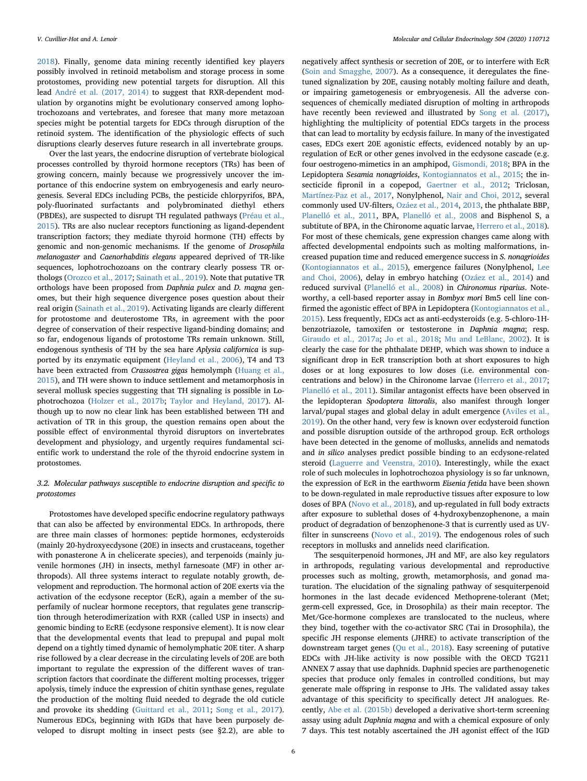[2018\)](#page-8-30). Finally, genome data mining recently identified key players possibly involved in retinoid metabolism and storage process in some protostomes, providing new potential targets for disruption. All this lead [André et al. \(2017, 2014\)](#page-7-29) to suggest that RXR-dependent modulation by organotins might be evolutionary conserved among lophotrochozoans and vertebrates, and foresee that many more metazoan species might be potential targets for EDCs through disruption of the retinoid system. The identification of the physiologic effects of such disruptions clearly deserves future research in all invertebrate groups.

Over the last years, the endocrine disruption of vertebrate biological processes controlled by thyroid hormone receptors (TRs) has been of growing concern, mainly because we progressively uncover the importance of this endocrine system on embryogenesis and early neurogenesis. Several EDCs including PCBs, the pesticide chlorpyrifos, BPA, poly-fluorinated surfactants and polybrominated diethyl ethers (PBDEs), are suspected to disrupt TH regulated pathways ([Préau et al.,](#page-9-30) [2015\)](#page-9-30). TRs are also nuclear receptors functioning as ligand-dependent transcription factors; they mediate thyroid hormone (TH) effects by genomic and non-genomic mechanisms. If the genome of Drosophila melanogaster and Caenorhabditis elegans appeared deprived of TR-like sequences, lophotrochozoans on the contrary clearly possess TR orthologs [\(Orozco et al., 2017](#page-9-31); [Sainath et al., 2019](#page-10-31)). Note that putative TR orthologs have been proposed from Daphnia pulex and D. magna genomes, but their high sequence divergence poses question about their real origin [\(Sainath et al., 2019\)](#page-10-31). Activating ligands are clearly different for protostome and deuterostome TRs, in agreement with the poor degree of conservation of their respective ligand-binding domains; and so far, endogenous ligands of protostome TRs remain unknown. Still, endogenous synthesis of TH by the sea hare Aplysia californica is supported by its enzymatic equipment [\(Heyland et al., 2006\)](#page-8-31), T4 and T3 have been extracted from Crassostrea gigas hemolymph ([Huang et al.,](#page-8-32) [2015\)](#page-8-32), and TH were shown to induce settlement and metamorphosis in several mollusk species suggesting that TH signaling is possible in Lophotrochozoa ([Holzer et al., 2017b;](#page-8-33) [Taylor and Heyland, 2017](#page-10-32)). Although up to now no clear link has been established between TH and activation of TR in this group, the question remains open about the possible effect of environmental thyroid disruptors on invertebrates development and physiology, and urgently requires fundamental scientific work to understand the role of the thyroid endocrine system in protostomes.

#### 3.2. Molecular pathways susceptible to endocrine disruption and specific to protostomes

Protostomes have developed specific endocrine regulatory pathways that can also be affected by environmental EDCs. In arthropods, there are three main classes of hormones: peptide hormones, ecdysteroids (mainly 20-hydroxyecdysone (20E) in insects and crustaceans, together with ponasterone A in chelicerate species), and terpenoids (mainly juvenile hormones (JH) in insects, methyl farnesoate (MF) in other arthropods). All three systems interact to regulate notably growth, development and reproduction. The hormonal action of 20E exerts via the activation of the ecdysone receptor (EcR), again a member of the superfamily of nuclear hormone receptors, that regulates gene transcription through heterodimerization with RXR (called USP in insects) and genomic binding to EcRE (ecdysone responsive element). It is now clear that the developmental events that lead to prepupal and pupal molt depend on a tightly timed dynamic of hemolymphatic 20E titer. A sharp rise followed by a clear decrease in the circulating levels of 20E are both important to regulate the expression of the different waves of transcription factors that coordinate the different molting processes, trigger apolysis, timely induce the expression of chitin synthase genes, regulate the production of the molting fluid needed to degrade the old cuticle and provoke its shedding [\(Guittard et al., 2011;](#page-8-34) [Song et al., 2017](#page-10-33)). Numerous EDCs, beginning with IGDs that have been purposely developed to disrupt molting in insect pests (see §2.2), are able to

negatively affect synthesis or secretion of 20E, or to interfere with EcR ([Soin and Smagghe, 2007](#page-10-25)). As a consequence, it deregulates the finetuned signalization by 20E, causing notably molting failure and death, or impairing gametogenesis or embryogenesis. All the adverse consequences of chemically mediated disruption of molting in arthropods have recently been reviewed and illustrated by [Song et al. \(2017\)](#page-10-33), highlighting the multiplicity of potential EDCs targets in the process that can lead to mortality by ecdysis failure. In many of the investigated cases, EDCs exert 20E agonistic effects, evidenced notably by an upregulation of EcR or other genes involved in the ecdysone cascade (e.g. four oestrogeno-mimetics in an amphipod, [Gismondi, 2018](#page-8-35); BPA in the Lepidoptera Sesamia nonagrioides, [Kontogiannatos et al., 2015;](#page-8-14) the in-secticide fipronil in a copepod, [Gaertner et al., 2012](#page-7-31); Triclosan, [Martínez-Paz et al., 2017,](#page-9-26) Nonylphenol, [Nair and Choi, 2012,](#page-9-32) several commonly used UV-filters, [Ozáez et al., 2014](#page-9-33), [2013,](#page-9-34) the phthalate BBP, [Planelló et al., 2011,](#page-9-35) BPA, [Planelló et al., 2008](#page-9-36) and Bisphenol S, a subtitute of BPA, in the Chironome aquatic larvae, [Herrero et al., 2018](#page-8-24)). For most of these chemicals, gene expression changes came along with affected developmental endpoints such as molting malformations, increased pupation time and reduced emergence success in S. nonagrioides ([Kontogiannatos et al., 2015](#page-8-14)), emergence failures (Nonylphenol, [Lee](#page-9-37) [and Choi, 2006\)](#page-9-37), delay in embryo hatching ([Ozáez et al., 2014](#page-9-33)) and reduced survival ([Planelló et al., 2008](#page-9-36)) in Chironomus riparius. Noteworthy, a cell-based reporter assay in Bombyx mori Bm5 cell line confirmed the agonistic effect of BPA in Lepidoptera [\(Kontogiannatos et al.,](#page-8-14) [2015\)](#page-8-14). Less frequently, EDCs act as anti-ecdysteroids (e.g. 5-chloro-1Hbenzotriazole, tamoxifen or testosterone in Daphnia magna; resp. [Giraudo et al., 2017a](#page-8-36); [Jo et al., 2018](#page-8-37); [Mu and LeBlanc, 2002](#page-9-38)). It is clearly the case for the phthalate DEHP, which was shown to induce a significant drop in EcR transcription both at short exposures to high doses or at long exposures to low doses (i.e. environmental concentrations and below) in the Chironome larvae [\(Herrero et al., 2017](#page-8-38); [Planelló et al., 2011](#page-9-35)). Similar antagonist effects have been observed in the lepidopteran Spodoptera littoralis, also manifest through longer larval/pupal stages and global delay in adult emergence [\(Aviles et al.,](#page-7-32) [2019\)](#page-7-32). On the other hand, very few is known over ecdysteroid function and possible disruption outside of the arthropod group. EcR orthologs have been detected in the genome of mollusks, annelids and nematods and in silico analyses predict possible binding to an ecdysone-related steroid [\(Laguerre and Veenstra, 2010\)](#page-8-39). Interestingly, while the exact role of such molecules in lophotrochozoa physiology is so far unknown, the expression of EcR in the earthworm Eisenia fetida have been shown to be down-regulated in male reproductive tissues after exposure to low doses of BPA ([Novo et al., 2018\)](#page-9-39), and up-regulated in full body extracts after exposure to sublethal doses of 4-hydroxybenzophenone, a main product of degradation of benzophenone-3 that is currently used as UVfilter in sunscreens [\(Novo et al., 2019\)](#page-9-40). The endogenous roles of such receptors in mollusks and annelids need clarification.

The sesquiterpenoid hormones, JH and MF, are also key regulators in arthropods, regulating various developmental and reproductive processes such as molting, growth, metamorphosis, and gonad maturation. The elucidation of the signaling pathway of sesquiterpenoid hormones in the last decade evidenced Methoprene-tolerant (Met; germ-cell expressed, Gce, in Drosophila) as their main receptor. The Met/Gce-hormone complexes are translocated to the nucleus, where they bind, together with the co-activator SRC (Tai in Drosophila), the specific JH response elements (JHRE) to activate transcription of the downstream target genes ([Qu et al., 2018\)](#page-9-41). Easy screening of putative EDCs with JH-like activity is now possible with the OECD TG211 ANNEX 7 assay that use daphnids. Daphnid species are parthenogenetic species that produce only females in controlled conditions, but may generate male offspring in response to JHs. The validated assay takes advantage of this specificity to specifically detect JH analogues. Recently, [Abe et al. \(2015b\)](#page-7-33) developed a derivative short-term screening assay using adult Daphnia magna and with a chemical exposure of only 7 days. This test notably ascertained the JH agonist effect of the IGD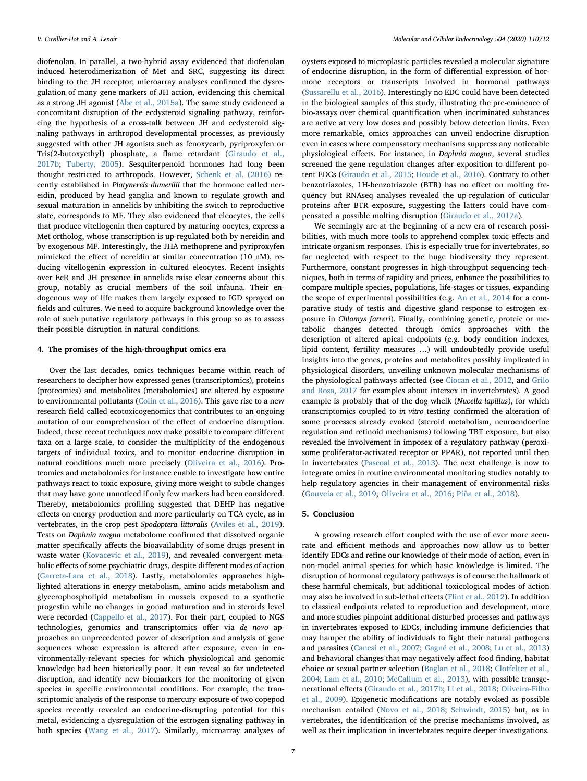diofenolan. In parallel, a two-hybrid assay evidenced that diofenolan induced heterodimerization of Met and SRC, suggesting its direct binding to the JH receptor; microarray analyses confirmed the dysregulation of many gene markers of JH action, evidencing this chemical as a strong JH agonist [\(Abe et al., 2015a\)](#page-7-34). The same study evidenced a concomitant disruption of the ecdysteroid signaling pathway, reinforcing the hypothesis of a cross-talk between JH and ecdysteroid signaling pathways in arthropod developmental processes, as previously suggested with other JH agonists such as fenoxycarb, pyriproxyfen or Tris(2-butoxyethyl) phosphate, a flame retardant ([Giraudo et al.,](#page-8-40) [2017b;](#page-8-40) [Tuberty, 2005\)](#page-10-34). Sesquiterpenoid hormones had long been thought restricted to arthropods. However, [Schenk et al. \(2016\)](#page-10-35) recently established in Platynereis dumerilii that the hormone called nereidin, produced by head ganglia and known to regulate growth and sexual maturation in annelids by inhibiting the switch to reproductive state, corresponds to MF. They also evidenced that eleocytes, the cells that produce vitellogenin then captured by maturing oocytes, express a Met ortholog, whose transcription is up-regulated both by nereidin and by exogenous MF. Interestingly, the JHA methoprene and pyriproxyfen mimicked the effect of nereidin at similar concentration (10 nM), reducing vitellogenin expression in cultured eleocytes. Recent insights over EcR and JH presence in annelids raise clear concerns about this group, notably as crucial members of the soil infauna. Their endogenous way of life makes them largely exposed to IGD sprayed on fields and cultures. We need to acquire background knowledge over the role of such putative regulatory pathways in this group so as to assess their possible disruption in natural conditions.

#### 4. The promises of the high-throughput omics era

Over the last decades, omics techniques became within reach of researchers to decipher how expressed genes (transcriptomics), proteins (proteomics) and metabolites (metabolomics) are altered by exposure to environmental pollutants ([Colin et al., 2016](#page-7-35)). This gave rise to a new research field called ecotoxicogenomics that contributes to an ongoing mutation of our comprehension of the effect of endocrine disruption. Indeed, these recent techniques now make possible to compare different taxa on a large scale, to consider the multiplicity of the endogenous targets of individual toxics, and to monitor endocrine disruption in natural conditions much more precisely [\(Oliveira et al., 2016](#page-9-42)). Proteomics and metabolomics for instance enable to investigate how entire pathways react to toxic exposure, giving more weight to subtle changes that may have gone unnoticed if only few markers had been considered. Thereby, metabolomics profiling suggested that DEHP has negative effects on energy production and more particularly on TCA cycle, as in vertebrates, in the crop pest Spodoptera littoralis [\(Aviles et al., 2019](#page-7-32)). Tests on Daphnia magna metabolome confirmed that dissolved organic matter specifically affects the bioavailability of some drugs present in waste water [\(Kovacevic et al., 2019](#page-8-41)), and revealed convergent metabolic effects of some psychiatric drugs, despite different modes of action ([Garreta-Lara et al., 2018\)](#page-8-42). Lastly, metabolomics approaches highlighted alterations in energy metabolism, amino acids metabolism and glycerophospholipid metabolism in mussels exposed to a synthetic progestin while no changes in gonad maturation and in steroids level were recorded ([Cappello et al., 2017](#page-7-36)). For their part, coupled to NGS technologies, genomics and transcriptomics offer via de novo approaches an unprecedented power of description and analysis of gene sequences whose expression is altered after exposure, even in environmentally-relevant species for which physiological and genomic knowledge had been historically poor. It can reveal so far undetected disruption, and identify new biomarkers for the monitoring of given species in specific environmental conditions. For example, the transcriptomic analysis of the response to mercury exposure of two copepod species recently revealed an endocrine-disrupting potential for this metal, evidencing a dysregulation of the estrogen signaling pathway in both species ([Wang et al., 2017\)](#page-10-36). Similarly, microarray analyses of oysters exposed to microplastic particles revealed a molecular signature of endocrine disruption, in the form of differential expression of hormone receptors or transcripts involved in hormonal pathways ([Sussarellu et al., 2016\)](#page-10-37). Interestingly no EDC could have been detected in the biological samples of this study, illustrating the pre-eminence of bio-assays over chemical quantification when incriminated substances are active at very low doses and possibly below detection limits. Even more remarkable, omics approaches can unveil endocrine disruption even in cases where compensatory mechanisms suppress any noticeable physiological effects. For instance, in Daphnia magna, several studies screened the gene regulation changes after exposition to different potent EDCs ([Giraudo et al., 2015;](#page-8-43) [Houde et al., 2016](#page-8-44)). Contrary to other benzotriazoles, 1H-benzotriazole (BTR) has no effect on molting frequency but RNAseq analyses revealed the up-regulation of cuticular proteins after BTR exposure, suggesting the latters could have compensated a possible molting disruption ([Giraudo et al., 2017a\)](#page-8-36).

We seemingly are at the beginning of a new era of research possibilities, with much more tools to apprehend complex toxic effects and intricate organism responses. This is especially true for invertebrates, so far neglected with respect to the huge biodiversity they represent. Furthermore, constant progresses in high-throughput sequencing techniques, both in terms of rapidity and prices, enhance the possibilities to compare multiple species, populations, life-stages or tissues, expanding the scope of experimental possibilities (e.g. [An et al., 2014](#page-7-37) for a comparative study of testis and digestive gland response to estrogen exposure in Chlamys farreri). Finally, combining genetic, proteic or metabolic changes detected through omics approaches with the description of altered apical endpoints (e.g. body condition indexes, lipid content, fertility measures …) will undoubtedly provide useful insights into the genes, proteins and metabolites possibly implicated in physiological disorders, unveiling unknown molecular mechanisms of the physiological pathways affected (see [Ciocan et al., 2012,](#page-7-38) and [Grilo](#page-8-45) [and Rosa, 2017](#page-8-45) for examples about intersex in invertebrates). A good example is probably that of the dog whelk (Nucella lapillus), for which transcriptomics coupled to in vitro testing confirmed the alteration of some processes already evoked (steroid metabolism, neuroendocrine regulation and retinoid mechanisms) following TBT exposure, but also revealed the involvement in imposex of a regulatory pathway (peroxisome proliferator-activated receptor or PPAR), not reported until then in invertebrates (Pascoal [et al., 2013\)](#page-9-29). The next challenge is now to integrate omics in routine environmental monitoring studies notably to help regulatory agencies in their management of environmental risks ([Gouveia et al., 2019;](#page-8-46) [Oliveira et al., 2016;](#page-9-42) [Piña et al., 2018\)](#page-9-43).

#### 5. Conclusion

A growing research effort coupled with the use of ever more accurate and efficient methods and approaches now allow us to better identify EDCs and refine our knowledge of their mode of action, even in non-model animal species for which basic knowledge is limited. The disruption of hormonal regulatory pathways is of course the hallmark of these harmful chemicals, but additional toxicological modes of action may also be involved in sub-lethal effects ([Flint et al., 2012](#page-7-3)). In addition to classical endpoints related to reproduction and development, more and more studies pinpoint additional disturbed processes and pathways in invertebrates exposed to EDCs, including immune deficiencies that may hamper the ability of individuals to fight their natural pathogens and parasites [\(Canesi et al., 2007](#page-7-39); [Gagné et al., 2008](#page-8-47); [Lu et al., 2013\)](#page-9-44) and behavioral changes that may negatively affect food finding, habitat choice or sexual partner selection ([Baglan et al., 2018;](#page-7-40) [Clotfelter et al.,](#page-7-41) [2004;](#page-7-41) [Lam et al., 2010;](#page-8-48) [McCallum et al., 2013](#page-9-45)), with possible transgenerational effects [\(Giraudo et al., 2017b](#page-8-40); [Li et al., 2018](#page-9-46); [Oliveira-Filho](#page-9-47) [et al., 2009](#page-9-47)). Epigenetic modifications are notably evoked as possible mechanism entailed ([Novo et al., 2018;](#page-9-39) [Schwindt, 2015\)](#page-10-38) but, as in vertebrates, the identification of the precise mechanisms involved, as well as their implication in invertebrates require deeper investigations.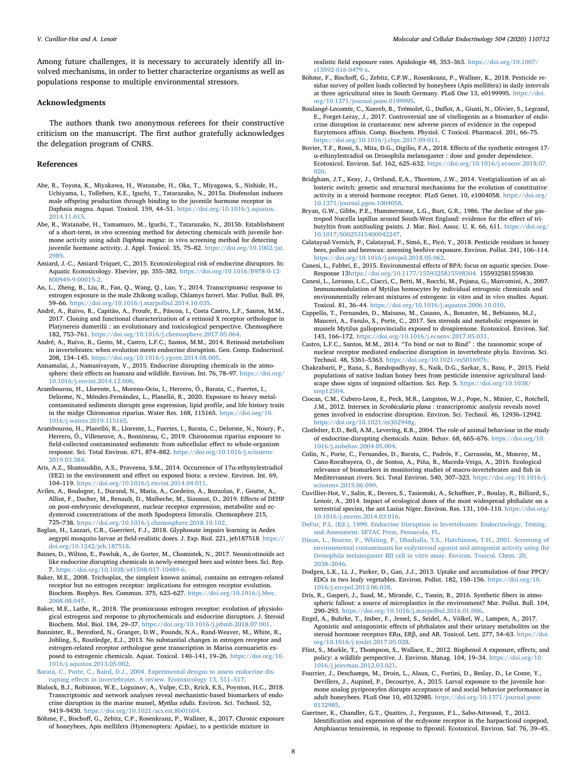Among future challenges, it is necessary to accurately identify all involved mechanisms, in order to better characterize organisms as well as populations response to multiple environmental stressors.

#### Acknowledgments

The authors thank two anonymous referees for their constructive criticism on the manuscript. The first author gratefully acknowledges the delegation program of CNRS.

#### References

- <span id="page-7-34"></span>Abe, R., Toyota, K., Miyakawa, H., Watanabe, H., Oka, T., Miyagawa, S., Nishide, H., Uchiyama, I., Tollefsen, K.E., Iguchi, T., Tatarazako, N., 2015a. Diofenolan induces male offspring production through binding to the juvenile hormone receptor in Daphnia magna. Aquat. Toxicol. 159, 44–51. [https://doi.org/10.1016/j.aquatox.](https://doi.org/10.1016/j.aquatox.2014.11.015) [2014.11.015](https://doi.org/10.1016/j.aquatox.2014.11.015).
- <span id="page-7-33"></span>Abe, R., Watanabe, H., Yamamuro, M., Iguchi, T., Tatarazako, N., 2015b. Establishment of a short-term, in vivo screening method for detecting chemicals with juvenile hormone activity using adult Daphnia magna: in vivo screening method for detecting juvenile hormone activity. J. Appl. Toxicol. 35, 75–82. [https://doi.org/10.1002/jat.](https://doi.org/10.1002/jat.2989) [2989.](https://doi.org/10.1002/jat.2989)
- <span id="page-7-4"></span>Amiard, J.-C., Amiard-Triquet, C., 2015. Ecotoxicological risk of endocrine disruptors. In: Aquatic Ecotoxicology. Elsevier, pp. 355–382. [https://doi.org/10.1016/B978-0-12-](https://doi.org/10.1016/B978-0-12-800949-9.00015-2) [800949-9.00015-2](https://doi.org/10.1016/B978-0-12-800949-9.00015-2).
- <span id="page-7-37"></span>An, L., Zheng, B., Liu, R., Fan, Q., Wang, Q., Luo, Y., 2014. Transcriptomic response to estrogen exposure in the male Zhikong scallop, Chlamys farreri. Mar. Pollut. Bull. 89, 59–66. <https://doi.org/10.1016/j.marpolbul.2014.10.035>.
- <span id="page-7-30"></span>André, A., Ruivo, R., Capitão, A., Froufe, E., Páscoa, I., Costa Castro, L.F., Santos, M.M., 2017. Cloning and functional characterization of a retinoid X receptor orthologue in Platynereis dumerilii : an evolutionary and toxicological perspective. Chemosphere 182, 753–761. <https://doi.org/10.1016/j.chemosphere.2017.05.064>.
- <span id="page-7-29"></span>André, A., Ruivo, R., Gesto, M., Castro, L.F.C., Santos, M.M., 2014. Retinoid metabolism in invertebrates: when evolution meets endocrine disruption. Gen. Comp. Endocrinol. 208, 134–145. <https://doi.org/10.1016/j.ygcen.2014.08.005>.
- <span id="page-7-1"></span>Annamalai, J., Namasivayam, V., 2015. Endocrine disrupting chemicals in the atmosphere: their effects on humans and wildlife. Environ. Int. 76, 78–97. [https://doi.org/](https://doi.org/10.1016/j.envint.2014.12.006) [10.1016/j.envint.2014.12.006](https://doi.org/10.1016/j.envint.2014.12.006).
- <span id="page-7-9"></span>Arambourou, H., Llorente, L., Moreno-Ocio, I., Herrero, Ó., Barata, C., Fuertes, I., Delorme, N., Méndez-Fernández, L., Planelló, R., 2020. Exposure to heavy metalcontaminated sediments disrupts gene expression, lipid profile, and life history traits in the midge Chironomus riparius. Water Res. 168, 115165. [https://doi.org/10.](https://doi.org/10.1016/j.watres.2019.115165) [1016/j.watres.2019.115165.](https://doi.org/10.1016/j.watres.2019.115165)
- <span id="page-7-10"></span>Arambourou, H., Planelló, R., Llorente, L., Fuertes, I., Barata, C., Delorme, N., Noury, P., Herrero, Ó., Villeneuve, A., Bonnineau, C., 2019. Chironomus riparius exposure to field-collected contaminated sediments: from subcellular effect to whole-organism response. Sci. Total Environ. 671, 874–882. [https://doi.org/10.1016/j.scitotenv.](https://doi.org/10.1016/j.scitotenv.2019.03.384) [2019.03.384](https://doi.org/10.1016/j.scitotenv.2019.03.384).
- <span id="page-7-0"></span>Aris, A.Z., Shamsuddin, A.S., Praveena, S.M., 2014. Occurrence of 17α-ethynylestradiol (EE2) in the environment and effect on exposed biota: a review. Environ. Int. 69, 104–119. <https://doi.org/10.1016/j.envint.2014.04.011>.
- <span id="page-7-32"></span>Aviles, A., Boulogne, I., Durand, N., Maria, A., Cordeiro, A., Bozzolan, F., Goutte, A., Alliot, F., Dacher, M., Renault, D., Maibeche, M., Siaussat, D., 2019. Effects of DEHP on post-embryonic development, nuclear receptor expression, metabolite and ecdysteroid concentrations of the moth Spodoptera littoralis. Chemosphere 215, 725–738. <https://doi.org/10.1016/j.chemosphere.2018.10.102>.
- <span id="page-7-40"></span>Baglan, H., Lazzari, C.R., Guerrieri, F.J., 2018. Glyphosate impairs learning in Aedes aegypti mosquito larvae at field-realistic doses. J. Exp. Biol. 221, jeb187518. [https://](https://doi.org/10.1242/jeb.187518) [doi.org/10.1242/jeb.187518](https://doi.org/10.1242/jeb.187518).
- <span id="page-7-13"></span>Baines, D., Wilton, E., Pawluk, A., de Gorter, M., Chomistek, N., 2017. Neonicotinoids act like endocrine disrupting chemicals in newly-emerged bees and winter bees. Sci. Rep. 7. [https://doi.org/10.1038/s41598-017-10489-6.](https://doi.org/10.1038/s41598-017-10489-6)
- <span id="page-7-27"></span>Baker, M.E., 2008. Trichoplax, the simplest known animal, contains an estrogen-related receptor but no estrogen receptor: implications for estrogen receptor evolution. Biochem. Biophys. Res. Commun. 375, 623–627. [https://doi.org/10.1016/j.bbrc.](https://doi.org/10.1016/j.bbrc.2008.08.047) [2008.08.047](https://doi.org/10.1016/j.bbrc.2008.08.047).
- <span id="page-7-25"></span>Baker, M.E., Lathe, R., 2018. The promiscuous estrogen receptor: evolution of physiological estrogens and response to phytochemicals and endocrine disruptors. J. Steroid Biochem. Mol. Biol. 184, 29–37. [https://doi.org/10.1016/j.jsbmb.2018.07.001.](https://doi.org/10.1016/j.jsbmb.2018.07.001)
- <span id="page-7-28"></span>Bannister, R., Beresford, N., Granger, D.W., Pounds, N.A., Rand-Weaver, M., White, R., Jobling, S., Routledge, E.J., 2013. No substantial changes in estrogen receptor and estrogen-related receptor orthologue gene transcription in Marisa cornuarietis exposed to estrogenic chemicals. Aquat. Toxicol. 140–141, 19–26. [https://doi.org/10.](https://doi.org/10.1016/j.aquatox.2013.05.002) [1016/j.aquatox.2013.05.002.](https://doi.org/10.1016/j.aquatox.2013.05.002)
- <span id="page-7-20"></span>[Barata, C., Porte, C., Baird, D.J., 2004. Experimental designs to assess endocrine dis](http://refhub.elsevier.com/S0303-7207(20)30012-5/sref17)rupting eff[ects in invertebrates. A review. Ecotoxicology 13, 511](http://refhub.elsevier.com/S0303-7207(20)30012-5/sref17)–517.
- <span id="page-7-24"></span>Blalock, B.J., Robinson, W.E., Loguinov, A., Vulpe, C.D., Krick, K.S., Poynton, H.C., 2018. Transcriptomic and network analyses reveal mechanistic-based biomarkers of endocrine disruption in the marine mussel, Mytilus edulis. Environ. Sci. Technol. 52, 9419–9430. <https://doi.org/10.1021/acs.est.8b01604>.
- <span id="page-7-14"></span>Böhme, F., Bischoff, G., Zebitz, C.P., Rosenkranz, P., Wallner, K., 2017. Chronic exposure of honeybees, Apis mellifera (Hymenoptera: Apidae), to a pesticide mixture in

realistic field exposure rates. Apidologie 48, 353–363. [https://doi.org/10.1007/](https://doi.org/10.1007/s13592-016-0479-x) [s13592-016-0479-x.](https://doi.org/10.1007/s13592-016-0479-x)

- <span id="page-7-11"></span>Böhme, F., Bischoff, G., Zebitz, C.P.W., Rosenkranz, P., Wallner, K., 2018. Pesticide residue survey of pollen loads collected by honeybees (Apis mellifera) in daily intervals at three agricultural sites in South Germany. PLoS One 13, e0199995. [https://doi.](https://doi.org/10.1371/journal.pone.0199995) [org/10.1371/journal.pone.0199995](https://doi.org/10.1371/journal.pone.0199995).
- <span id="page-7-8"></span>Boulangé-Lecomte, C., Xuereb, B., Trémolet, G., Duflot, A., Giusti, N., Olivier, S., Legrand, E., Forget-Leray, J., 2017. Controversial use of vitellogenin as a biomarker of endocrine disruption in crustaceans: new adverse pieces of evidence in the copepod Eurytemora affinis. Comp. Biochem. Physiol. C Toxicol. Pharmacol. 201, 66–75. [https://doi.org/10.1016/j.cbpc.2017.09.011.](https://doi.org/10.1016/j.cbpc.2017.09.011)
- <span id="page-7-7"></span>Bovier, T.F., Rossi, S., Mita, D.G., Digilio, F.A., 2018. Effects of the synthetic estrogen 17 α-ethinylestradiol on Drosophila melanogaster : dose and gender dependence. Ecotoxicol. Environ. Saf. 162, 625–632. [https://doi.org/10.1016/j.ecoenv.2018.07.](https://doi.org/10.1016/j.ecoenv.2018.07.020) [020](https://doi.org/10.1016/j.ecoenv.2018.07.020).
- <span id="page-7-22"></span>Bridgham, J.T., Keay, J., Ortlund, E.A., Thornton, J.W., 2014. Vestigialization of an allosteric switch: genetic and structural mechanisms for the evolution of constitutive activity in a steroid hormone receptor. PLoS Genet. 10, e1004058. [https://doi.org/](https://doi.org/10.1371/journal.pgen.1004058) [10.1371/journal.pgen.1004058.](https://doi.org/10.1371/journal.pgen.1004058)
- <span id="page-7-6"></span>Bryan, G.W., Gibbs, P.E., Hummerstone, L.G., Burt, G.R., 1986. The decline of the gastropod Nucella lapillus around South-West England: evidence for the effect of tributyltin from antifouling paints. J. Mar. Biol. Assoc. U. K. 66, 611. [https://doi.org/](https://doi.org/10.1017/S0025315400042247) [10.1017/S0025315400042247.](https://doi.org/10.1017/S0025315400042247)
- <span id="page-7-12"></span>Calatayud-Vernich, P., Calatayud, F., Simó, E., Picó, Y., 2018. Pesticide residues in honey bees, pollen and beeswax: assessing beehive exposure. Environ. Pollut. 241, 106–114. [https://doi.org/10.1016/j.envpol.2018.05.062.](https://doi.org/10.1016/j.envpol.2018.05.062)
- <span id="page-7-23"></span>Canesi, L., Fabbri, E., 2015. Environmental effects of BPA: focus on aquatic species. Dose-Response 13[https://doi.org/10.1177/1559325815598304.](https://doi.org/10.1177/1559325815598304) 155932581559830.
- <span id="page-7-39"></span>Canesi, L., Lorusso, L.C., Ciacci, C., Betti, M., Rocchi, M., Pojana, G., Marcomini, A., 2007. Immunomodulation of Mytilus hemocytes by individual estrogenic chemicals and environmentally relevant mixtures of estrogens: in vitro and in vivo studies. Aquat. Toxicol. 81, 36–44. <https://doi.org/10.1016/j.aquatox.2006.10.010>.
- <span id="page-7-36"></span>Cappello, T., Fernandes, D., Maisano, M., Casano, A., Bonastre, M., Bebianno, M.J., Mauceri, A., Fasulo, S., Porte, C., 2017. Sex steroids and metabolic responses in mussels Mytilus galloprovincialis exposed to drospirenone. Ecotoxicol. Environ. Saf. 143, 166–172. [https://doi.org/10.1016/j.ecoenv.2017.05.031.](https://doi.org/10.1016/j.ecoenv.2017.05.031)
- <span id="page-7-19"></span>Castro, L.F.C., Santos, M.M., 2014. "To bind or not to Bind" : the taxonomic scope of nuclear receptor mediated endocrine disruption in invertebrate phyla. Environ. Sci. Technol. 48, 5361–5363. <https://doi.org/10.1021/es501697b>.
- <span id="page-7-15"></span>Chakrabarti, P., Rana, S., Bandopadhyay, S., Naik, D.G., Sarkar, S., Basu, P., 2015. Field populations of native Indian honey bees from pesticide intensive agricultural landscape show signs of impaired olfaction. Sci. Rep. 5. [https://doi.org/10.1038/](https://doi.org/10.1038/srep12504) [srep12504](https://doi.org/10.1038/srep12504).
- <span id="page-7-38"></span>Ciocan, C.M., Cubero-Leon, E., Peck, M.R., Langston, W.J., Pope, N., Minier, C., Rotchell, J.M., 2012. Intersex in Scrobicularia plana : transcriptomic analysis reveals novel genes involved in endocrine disruption. Environ. Sci. Technol. 46, 12936–12942. [https://doi.org/10.1021/es302948g.](https://doi.org/10.1021/es302948g)
- <span id="page-7-41"></span>Clotfelter, E.D., Bell, A.M., Levering, K.R., 2004. The role of animal behaviour in the study of endocrine-disrupting chemicals. Anim. Behav. 68, 665–676. [https://doi.org/10.](https://doi.org/10.1016/j.anbehav.2004.05.004) [1016/j.anbehav.2004.05.004](https://doi.org/10.1016/j.anbehav.2004.05.004).
- <span id="page-7-35"></span>Colin, N., Porte, C., Fernandes, D., Barata, C., Padrós, F., Carrassón, M., Monroy, M., Cano-Rocabayera, O., de Sostoa, A., Piña, B., Maceda-Veiga, A., 2016. Ecological relevance of biomarkers in monitoring studies of macro-invertebrates and fish in Mediterranean rivers. Sci. Total Environ. 540, 307–323. [https://doi.org/10.1016/j.](https://doi.org/10.1016/j.scitotenv.2015.06.099) [scitotenv.2015.06.099.](https://doi.org/10.1016/j.scitotenv.2015.06.099)
- <span id="page-7-18"></span>Cuvillier-Hot, V., Salin, K., Devers, S., Tasiemski, A., Schaffner, P., Boulay, R., Billiard, S., Lenoir, A., 2014. Impact of ecological doses of the most widespread phthalate on a terrestrial species, the ant Lasius Niger. Environ. Res. 131, 104–110. [https://doi.org/](https://doi.org/10.1016/j.envres.2014.03.016) [10.1016/j.envres.2014.03.016.](https://doi.org/10.1016/j.envres.2014.03.016)
- <span id="page-7-5"></span>[DeFur, P.L. \(Ed.\), 1999. Endocrine Disruption in Invertebrates: Endocrinology, Testing,](http://refhub.elsevier.com/S0303-7207(20)30012-5/sref35) [and Assessment. SETAC Press, Pensacola, FL](http://refhub.elsevier.com/S0303-7207(20)30012-5/sref35).
- <span id="page-7-21"></span>[Dinan, L., Bourne, P., Whiting, P., Dhadialla, T.S., Hutchinson, T.H., 2001. Screening of](http://refhub.elsevier.com/S0303-7207(20)30012-5/sref36) [environmental contaminants for ecdysteroid agonist and antagonist activity using the](http://refhub.elsevier.com/S0303-7207(20)30012-5/sref36) [Drosophila melanogaster BII cell in vitro assay. Environ. Toxicol. Chem. 20,](http://refhub.elsevier.com/S0303-7207(20)30012-5/sref36) 2038–[2046](http://refhub.elsevier.com/S0303-7207(20)30012-5/sref36).
- <span id="page-7-17"></span>Dodgen, L.K., Li, J., Parker, D., Gan, J.J., 2013. Uptake and accumulation of four PPCP/ EDCs in two leafy vegetables. Environ. Pollut. 182, 150–156. [https://doi.org/10.](https://doi.org/10.1016/j.envpol.2013.06.038) [1016/j.envpol.2013.06.038](https://doi.org/10.1016/j.envpol.2013.06.038).
- <span id="page-7-2"></span>Dris, R., Gasperi, J., Saad, M., Mirande, C., Tassin, B., 2016. Synthetic fibers in atmospheric fallout: a source of microplastics in the environment? Mar. Pollut. Bull. 104, 290–293. <https://doi.org/10.1016/j.marpolbul.2016.01.006>.
- <span id="page-7-26"></span>Engel, A., Buhrke, T., Imber, F., Jessel, S., Seidel, A., Völkel, W., Lampen, A., 2017. Agonistic and antagonistic effects of phthalates and their urinary metabolites on the steroid hormone receptors ERα, ERβ, and AR. Toxicol. Lett. 277, 54–63. [https://doi.](https://doi.org/10.1016/j.toxlet.2017.05.028) [org/10.1016/j.toxlet.2017.05.028.](https://doi.org/10.1016/j.toxlet.2017.05.028)
- <span id="page-7-3"></span>Flint, S., Markle, T., Thompson, S., Wallace, E., 2012. Bisphenol A exposure, effects, and policy: a wildlife perspective. J. Environ. Manag. 104, 19–34. [https://doi.org/10.](https://doi.org/10.1016/j.jenvman.2012.03.021) [1016/j.jenvman.2012.03.021.](https://doi.org/10.1016/j.jenvman.2012.03.021)
- <span id="page-7-16"></span>Fourrier, J., Deschamps, M., Droin, L., Alaux, C., Fortini, D., Beslay, D., Le Conte, Y., Devillers, J., Aupinel, P., Decourtye, A., 2015. Larval exposure to the juvenile hormone analog pyriproxyfen disrupts acceptance of and social behavior performance in adult honeybees. PLoS One 10, e0132985. [https://doi.org/10.1371/journal.pone.](https://doi.org/10.1371/journal.pone.0132985) [0132985.](https://doi.org/10.1371/journal.pone.0132985)
- <span id="page-7-31"></span>Gaertner, K., Chandler, G.T., Quattro, J., Ferguson, P.L., Sabo-Attwood, T., 2012. Identification and expression of the ecdysone receptor in the harpacticoid copepod, Amphiascus tenuiremis, in response to fipronil. Ecotoxicol. Environ. Saf. 76, 39–45.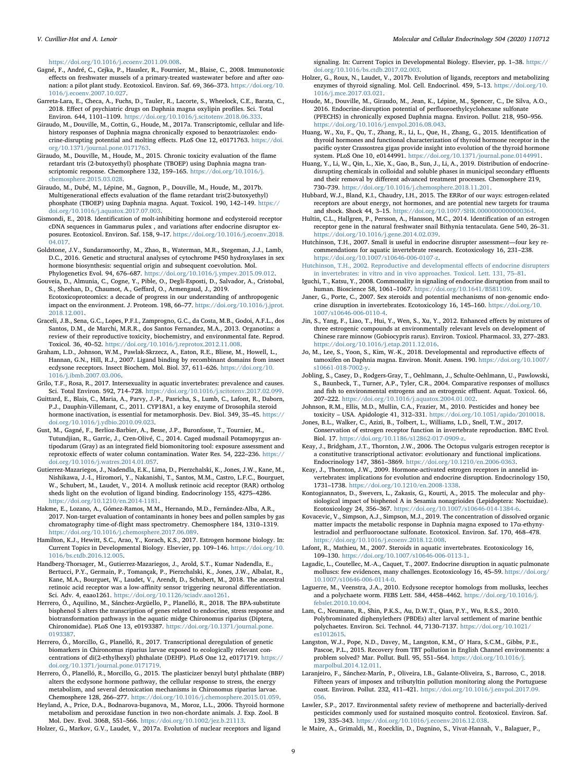<https://doi.org/10.1016/j.ecoenv.2011.09.008>.

- <span id="page-8-47"></span>Gagné, F., André, C., Cejka, P., Hausler, R., Fournier, M., Blaise, C., 2008. Immunotoxic effects on freshwater mussels of a primary-treated wastewater before and after ozonation: a pilot plant study. Ecotoxicol. Environ. Saf. 69, 366–373. [https://doi.org/10.](https://doi.org/10.1016/j.ecoenv.2007.10.027) [1016/j.ecoenv.2007.10.027](https://doi.org/10.1016/j.ecoenv.2007.10.027).
- <span id="page-8-42"></span>Garreta-Lara, E., Checa, A., Fuchs, D., Tauler, R., Lacorte, S., Wheelock, C.E., Barata, C., 2018. Effect of psychiatric drugs on Daphnia magna oxylipin profiles. Sci. Total Environ. 644, 1101–1109. [https://doi.org/10.1016/j.scitotenv.2018.06.333.](https://doi.org/10.1016/j.scitotenv.2018.06.333)
- <span id="page-8-36"></span>Giraudo, M., Douville, M., Cottin, G., Houde, M., 2017a. Transcriptomic, cellular and lifehistory responses of Daphnia magna chronically exposed to benzotriazoles: endocrine-disrupting potential and molting effects. PLoS One 12, e0171763. [https://doi.](https://doi.org/10.1371/journal.pone.0171763) [org/10.1371/journal.pone.0171763](https://doi.org/10.1371/journal.pone.0171763).
- <span id="page-8-43"></span>Giraudo, M., Douville, M., Houde, M., 2015. Chronic toxicity evaluation of the flame retardant tris (2-butoxyethyl) phosphate (TBOEP) using Daphnia magna transcriptomic response. Chemosphere 132, 159–165. [https://doi.org/10.1016/j.](https://doi.org/10.1016/j.chemosphere.2015.03.028) [chemosphere.2015.03.028](https://doi.org/10.1016/j.chemosphere.2015.03.028).
- <span id="page-8-40"></span>Giraudo, M., Dubé, M., Lépine, M., Gagnon, P., Douville, M., Houde, M., 2017b. Multigenerational effects evaluation of the flame retardant tris(2-butoxyethyl) phosphate (TBOEP) using Daphnia magna. Aquat. Toxicol. 190, 142–149. [https://](https://doi.org/10.1016/j.aquatox.2017.07.003) [doi.org/10.1016/j.aquatox.2017.07.003](https://doi.org/10.1016/j.aquatox.2017.07.003).
- <span id="page-8-35"></span>Gismondi, E., 2018. Identification of molt-inhibiting hormone and ecdysteroid receptor cDNA sequences in Gammarus pulex , and variations after endocrine disruptor exposures. Ecotoxicol. Environ. Saf. 158, 9–17. [https://doi.org/10.1016/j.ecoenv.2018.](https://doi.org/10.1016/j.ecoenv.2018.04.017) [04.017](https://doi.org/10.1016/j.ecoenv.2018.04.017).
- <span id="page-8-21"></span>Goldstone, J.V., Sundaramoorthy, M., Zhao, B., Waterman, M.R., Stegeman, J.J., Lamb, D.C., 2016. Genetic and structural analyses of cytochrome P450 hydroxylases in sex hormone biosynthesis: sequential origin and subsequent coevolution. Mol. Phylogenetics Evol. 94, 676–687. [https://doi.org/10.1016/j.ympev.2015.09.012.](https://doi.org/10.1016/j.ympev.2015.09.012)
- <span id="page-8-46"></span>Gouveia, D., Almunia, C., Cogne, Y., Pible, O., Degli-Esposti, D., Salvador, A., Cristobal, S., Sheehan, D., Chaumot, A., Geffard, O., Armengaud, J., 2019. Ecotoxicoproteomics: a decade of progress in our understanding of anthropogenic impact on the environment. J. Proteom. 198, 66–77. [https://doi.org/10.1016/j.jprot.](https://doi.org/10.1016/j.jprot.2018.12.001) [2018.12.001](https://doi.org/10.1016/j.jprot.2018.12.001).
- <span id="page-8-4"></span>Graceli, J.B., Sena, G.C., Lopes, P.F.I., Zamprogno, G.C., da Costa, M.B., Godoi, A.F.L., dos Santos, D.M., de Marchi, M.R.R., dos Santos Fernandez, M.A., 2013. Organotins: a review of their reproductive toxicity, biochemistry, and environmental fate. Reprod. Toxicol. 36, 40–52. [https://doi.org/10.1016/j.reprotox.2012.11.008.](https://doi.org/10.1016/j.reprotox.2012.11.008)
- <span id="page-8-15"></span>Graham, L.D., Johnson, W.M., Pawlak-Skrzecz, A., Eaton, R.E., Bliese, M., Howell, L., Hannan, G.N., Hill, R.J., 2007. Ligand binding by recombinant domains from insect ecdysone receptors. Insect Biochem. Mol. Biol. 37, 611–626. [https://doi.org/10.](https://doi.org/10.1016/j.ibmb.2007.03.006) [1016/j.ibmb.2007.03.006.](https://doi.org/10.1016/j.ibmb.2007.03.006)
- <span id="page-8-45"></span>Grilo, T.F., Rosa, R., 2017. Intersexuality in aquatic invertebrates: prevalence and causes. Sci. Total Environ. 592, 714–728. <https://doi.org/10.1016/j.scitotenv.2017.02.099>.
- <span id="page-8-34"></span>Guittard, E., Blais, C., Maria, A., Parvy, J.-P., Pasricha, S., Lumb, C., Lafont, R., Daborn, P.J., Dauphin-Villemant, C., 2011. CYP18A1, a key enzyme of Drosophila steroid hormone inactivation, is essential for metamorphosis. Dev. Biol. 349, 35–45. [https://](https://doi.org/10.1016/j.ydbio.2010.09.023) [doi.org/10.1016/j.ydbio.2010.09.023](https://doi.org/10.1016/j.ydbio.2010.09.023).
- <span id="page-8-9"></span>Gust, M., Gagné, F., Berlioz-Barbier, A., Besse, J.P., Buronfosse, T., Tournier, M., Tutundjian, R., Garric, J., Cren-Olivé, C., 2014. Caged mudsnail Potamopyrgus antipodarum (Gray) as an integrated field biomonitoring tool: exposure assessment and reprotoxic effects of water column contamination. Water Res. 54, 222–236. [https://](https://doi.org/10.1016/j.watres.2014.01.057) [doi.org/10.1016/j.watres.2014.01.057](https://doi.org/10.1016/j.watres.2014.01.057).
- <span id="page-8-29"></span>Gutierrez-Mazariegos, J., Nadendla, E.K., Lima, D., Pierzchalski, K., Jones, J.W., Kane, M., Nishikawa, J.-I., Hiromori, Y., Nakanishi, T., Santos, M.M., Castro, L.F.C., Bourguet, W., Schubert, M., Laudet, V., 2014. A mollusk retinoic acid receptor (RAR) ortholog sheds light on the evolution of ligand binding. Endocrinology 155, 4275–4286. [https://doi.org/10.1210/en.2014-1181.](https://doi.org/10.1210/en.2014-1181)
- <span id="page-8-12"></span>Hakme, E., Lozano, A., Gómez-Ramos, M.M., Hernando, M.D., Fernández-Alba, A.R., 2017. Non-target evaluation of contaminants in honey bees and pollen samples by gas chromatography time-of-flight mass spectrometry. Chemosphere 184, 1310–1319. [https://doi.org/10.1016/j.chemosphere.2017.06.089.](https://doi.org/10.1016/j.chemosphere.2017.06.089)
- <span id="page-8-20"></span>Hamilton, K.J., Hewitt, S.C., Arao, Y., Korach, K.S., 2017. Estrogen hormone biology. In: Current Topics in Developmental Biology. Elsevier, pp. 109–146. [https://doi.org/10.](https://doi.org/10.1016/bs.ctdb.2016.12.005) [1016/bs.ctdb.2016.12.005.](https://doi.org/10.1016/bs.ctdb.2016.12.005)
- <span id="page-8-30"></span>Handberg-Thorsager, M., Gutierrez-Mazariegos, J., Arold, S.T., Kumar Nadendla, E., Bertucci, P.Y., Germain, P., Tomançak, P., Pierzchalski, K., Jones, J.W., Albalat, R., Kane, M.A., Bourguet, W., Laudet, V., Arendt, D., Schubert, M., 2018. The ancestral retinoic acid receptor was a low-affinity sensor triggering neuronal differentiation. Sci. Adv. 4, eaao1261. <https://doi.org/10.1126/sciadv.aao1261>.
- <span id="page-8-24"></span>Herrero, Ó., Aquilino, M., Sánchez-Argüello, P., Planelló, R., 2018. The BPA-substitute bisphenol S alters the transcription of genes related to endocrine, stress response and biotransformation pathways in the aquatic midge Chironomus riparius (Diptera, Chironomidae). PLoS One 13, e0193387. [https://doi.org/10.1371/journal.pone.](https://doi.org/10.1371/journal.pone.0193387) [0193387.](https://doi.org/10.1371/journal.pone.0193387)
- <span id="page-8-38"></span>Herrero, Ó., Morcillo, G., Planelló, R., 2017. Transcriptional deregulation of genetic biomarkers in Chironomus riparius larvae exposed to ecologically relevant concentrations of di(2-ethylhexyl) phthalate (DEHP). PLoS One 12, e0171719. [https://](https://doi.org/10.1371/journal.pone.0171719) [doi.org/10.1371/journal.pone.0171719.](https://doi.org/10.1371/journal.pone.0171719)
- <span id="page-8-7"></span>Herrero, Ó., Planelló, R., Morcillo, G., 2015. The plasticizer benzyl butyl phthalate (BBP) alters the ecdysone hormone pathway, the cellular response to stress, the energy metabolism, and several detoxication mechanisms in Chironomus riparius larvae. Chemosphere 128, 266–277. <https://doi.org/10.1016/j.chemosphere.2015.01.059>.
- <span id="page-8-31"></span>Heyland, A., Price, D.A., Bodnarova-buganova, M., Moroz, L.L., 2006. Thyroid hormone metabolism and peroxidase function in two non-chordate animals. J. Exp. Zool. B Mol. Dev. Evol. 306B, 551–566. [https://doi.org/10.1002/jez.b.21113.](https://doi.org/10.1002/jez.b.21113)

<span id="page-8-22"></span>Holzer, G., Markov, G.V., Laudet, V., 2017a. Evolution of nuclear receptors and ligand

signaling. In: Current Topics in Developmental Biology. Elsevier, pp. 1–38. [https://](https://doi.org/10.1016/bs.ctdb.2017.02.003) [doi.org/10.1016/bs.ctdb.2017.02.003.](https://doi.org/10.1016/bs.ctdb.2017.02.003)

- <span id="page-8-33"></span>Holzer, G., Roux, N., Laudet, V., 2017b. Evolution of ligands, receptors and metabolizing enzymes of thyroid signaling. Mol. Cell. Endocrinol. 459, 5–13. [https://doi.org/10.](https://doi.org/10.1016/j.mce.2017.03.021) [1016/j.mce.2017.03.021.](https://doi.org/10.1016/j.mce.2017.03.021)
- <span id="page-8-44"></span>Houde, M., Douville, M., Giraudo, M., Jean, K., Lépine, M., Spencer, C., De Silva, A.O., 2016. Endocrine-disruption potential of perfluoroethylcyclohexane sulfonate (PFECHS) in chronically exposed Daphnia magna. Environ. Pollut. 218, 950–956. [https://doi.org/10.1016/j.envpol.2016.08.043.](https://doi.org/10.1016/j.envpol.2016.08.043)
- <span id="page-8-32"></span>Huang, W., Xu, F., Qu, T., Zhang, R., Li, L., Que, H., Zhang, G., 2015. Identification of thyroid hormones and functional characterization of thyroid hormone receptor in the pacific oyster Crassostrea gigas provide insight into evolution of the thyroid hormone system. PLoS One 10, e0144991. [https://doi.org/10.1371/journal.pone.0144991.](https://doi.org/10.1371/journal.pone.0144991)
- <span id="page-8-0"></span>Huang, Y., Li, W., Qin, L., Xie, X., Gao, B., Sun, J., Li, A., 2019. Distribution of endocrinedisrupting chemicals in colloidal and soluble phases in municipal secondary effluents and their removal by different advanced treatment processes. Chemosphere 219, 730–739. <https://doi.org/10.1016/j.chemosphere.2018.11.201>.
- <span id="page-8-23"></span>Hubbard, W.J., Bland, K.I., Chaudry, I.H., 2015. The ERRor of our ways: estrogen-related receptors are about energy, not hormones, and are potential new targets for trauma and shock. Shock 44, 3–15. <https://doi.org/10.1097/SHK.0000000000000364>.
- <span id="page-8-17"></span>Hultin, C.L., Hallgren, P., Persson, A., Hansson, M.C., 2014. Identification of an estrogen receptor gene in the natural freshwater snail Bithynia tentaculata. Gene 540, 26–31. [https://doi.org/10.1016/j.gene.2014.02.039.](https://doi.org/10.1016/j.gene.2014.02.039)
- <span id="page-8-2"></span>Hutchinson, T.H., 2007. Small is useful in endocrine disrupter assessment—four key recommendations for aquatic invertebrate research. Ecotoxicology 16, 231–238. <https://doi.org/10.1007/s10646-006-0107-z>.
- <span id="page-8-16"></span>[Hutchinson, T.H., 2002. Reproductive and developmental e](http://refhub.elsevier.com/S0303-7207(20)30012-5/sref72)ffects of endocrine disrupters [in invertebrates: in vitro and in vivo approaches. Toxicol. Lett. 131, 75](http://refhub.elsevier.com/S0303-7207(20)30012-5/sref72)–81.
- <span id="page-8-28"></span>Iguchi, T., Katsu, Y., 2008. Commonality in signaling of endocrine disruption from snail to human. Bioscience 58, 1061–1067. [https://doi.org/10.1641/B581109.](https://doi.org/10.1641/B581109)
- <span id="page-8-25"></span>Janer, G., Porte, C., 2007. Sex steroids and potential mechanisms of non-genomic endocrine disruption in invertebrates. Ecotoxicology 16, 145–160. [https://doi.org/10.](https://doi.org/10.1007/s10646-006-0110-4) [1007/s10646-006-0110-4](https://doi.org/10.1007/s10646-006-0110-4).
- <span id="page-8-6"></span>Jin, S., Yang, F., Liao, T., Hui, Y., Wen, S., Xu, Y., 2012. Enhanced effects by mixtures of three estrogenic compounds at environmentally relevant levels on development of Chinese rare minnow (Gobiocypris rarus). Environ. Toxicol. Pharmacol. 33, 277–283. [https://doi.org/10.1016/j.etap.2011.12.016.](https://doi.org/10.1016/j.etap.2011.12.016)
- <span id="page-8-37"></span>Jo, M., Lee, S., Yoon, S., Kim, W.-K., 2018. Developmental and reproductive effects of tamoxifen on Daphnia magna. Environ. Monit. Assess. 190. [https://doi.org/10.1007/](https://doi.org/10.1007/s10661-018-7002-y) [s10661-018-7002-y.](https://doi.org/10.1007/s10661-018-7002-y)
- <span id="page-8-8"></span>Jobling, S., Casey, D., Rodgers-Gray, T., Oehlmann, J., Schulte-Oehlmann, U., Pawlowski, S., Baunbeck, T., Turner, A.P., Tyler, C.R., 2004. Comparative responses of molluscs and fish to environmental estrogens and an estrogenic effluent. Aquat. Toxicol. 66, 207–222. [https://doi.org/10.1016/j.aquatox.2004.01.002.](https://doi.org/10.1016/j.aquatox.2004.01.002)
- <span id="page-8-11"></span>Johnson, R.M., Ellis, M.D., Mullin, C.A., Frazier, M., 2010. Pesticides and honey bee toxicity – USA. Apidologie 41, 312–331. [https://doi.org/10.1051/apido/2010018.](https://doi.org/10.1051/apido/2010018)
- <span id="page-8-1"></span>Jones, B.L., Walker, C., Azizi, B., Tolbert, L., Williams, L.D., Snell, T.W., 2017. Conservation of estrogen receptor function in invertebrate reproduction. BMC Evol. Biol. 17. <https://doi.org/10.1186/s12862-017-0909-z>.
- <span id="page-8-18"></span>Keay, J., Bridgham, J.T., Thornton, J.W., 2006. The Octopus vulgaris estrogen receptor is a constitutive transcriptional activator: evolutionary and functional implications. Endocrinology 147, 3861–3869. <https://doi.org/10.1210/en.2006-0363>.
- <span id="page-8-19"></span>Keay, J., Thornton, J.W., 2009. Hormone-activated estrogen receptors in annelid invertebrates: implications for evolution and endocrine disruption. Endocrinology 150, 1731–1738. <https://doi.org/10.1210/en.2008-1338>.
- <span id="page-8-14"></span>Kontogiannatos, D., Swevers, L., Zakasis, G., Kourti, A., 2015. The molecular and physiological impact of bisphenol A in Sesamia nonagrioides (Lepidoptera: Noctuidae). Ecotoxicology 24, 356–367. <https://doi.org/10.1007/s10646-014-1384-6>.
- <span id="page-8-41"></span>Kovacevic, V., Simpson, A.J., Simpson, M.J., 2019. The concentration of dissolved organic matter impacts the metabolic response in Daphnia magna exposed to  $17\alpha$ -ethynylestradiol and perfluorooctane sulfonate. Ecotoxicol. Environ. Saf. 170, 468–478. <https://doi.org/10.1016/j.ecoenv.2018.12.008>.
- <span id="page-8-26"></span>Lafont, R., Mathieu, M., 2007. Steroids in aquatic invertebrates. Ecotoxicology 16, 109–130. <https://doi.org/10.1007/s10646-006-0113-1>.
- <span id="page-8-13"></span>Lagadic, L., Coutellec, M.-A., Caquet, T., 2007. Endocrine disruption in aquatic pulmonate molluscs: few evidences, many challenges. Ecotoxicology 16, 45–59. [https://doi.org/](https://doi.org/10.1007/s10646-006-0114-0) [10.1007/s10646-006-0114-0](https://doi.org/10.1007/s10646-006-0114-0).
- <span id="page-8-39"></span>Laguerre, M., Veenstra, J.A., 2010. Ecdysone receptor homologs from mollusks, leeches and a polychaete worm. FEBS Lett. 584, 4458–4462. [https://doi.org/10.1016/j.](https://doi.org/10.1016/j.febslet.2010.10.004) [febslet.2010.10.004.](https://doi.org/10.1016/j.febslet.2010.10.004)
- <span id="page-8-48"></span>Lam, C., Neumann, R., Shin, P.K.S., Au, D.W.T., Qian, P.Y., Wu, R.S.S., 2010. Polybrominated diphenylethers (PBDEs) alter larval settlement of marine benthic polychaetes. Environ. Sci. Technol. 44, 7130–7137. [https://doi.org/10.1021/](https://doi.org/10.1021/es1012615) [es1012615](https://doi.org/10.1021/es1012615).
- <span id="page-8-5"></span>Langston, W.J., Pope, N.D., Davey, M., Langston, K.M., O' Hara, S.C.M., Gibbs, P.E., Pascoe, P.L., 2015. Recovery from TBT pollution in English Channel environments: a problem solved? Mar. Pollut. Bull. 95, 551–564. [https://doi.org/10.1016/j.](https://doi.org/10.1016/j.marpolbul.2014.12.011) [marpolbul.2014.12.011](https://doi.org/10.1016/j.marpolbul.2014.12.011).
- <span id="page-8-3"></span>Laranjeiro, F., Sánchez-Marín, P., Oliveira, I.B., Galante-Oliveira, S., Barroso, C., 2018. Fifteen years of imposex and tributyltin pollution monitoring along the Portuguese coast. Environ. Pollut. 232, 411–421. [https://doi.org/10.1016/j.envpol.2017.09.](https://doi.org/10.1016/j.envpol.2017.09.056) [056](https://doi.org/10.1016/j.envpol.2017.09.056).
- <span id="page-8-10"></span>Lawler, S.P., 2017. Environmental safety review of methoprene and bacterially-derived pesticides commonly used for sustained mosquito control. Ecotoxicol. Environ. Saf. 139, 335–343. [https://doi.org/10.1016/j.ecoenv.2016.12.038.](https://doi.org/10.1016/j.ecoenv.2016.12.038)
- <span id="page-8-27"></span>le Maire, A., Grimaldi, M., Roecklin, D., Dagnino, S., Vivat-Hannah, V., Balaguer, P.,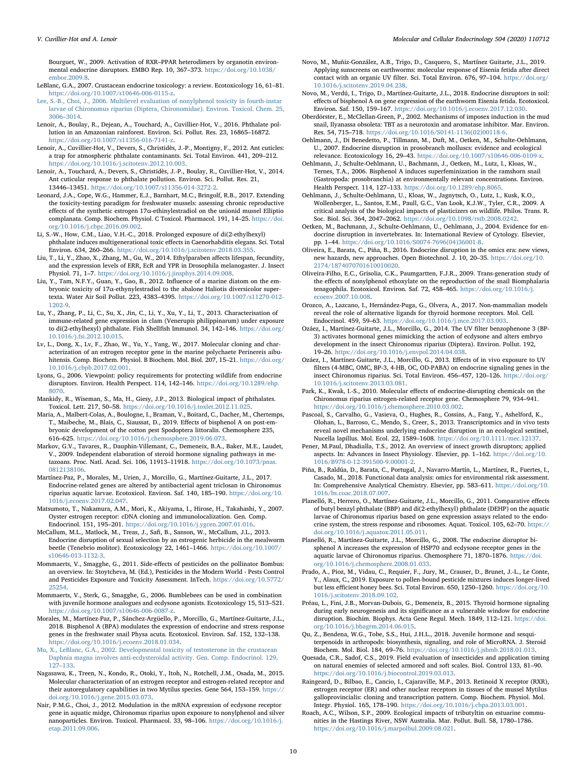Bourguet, W., 2009. Activation of RXR–PPAR heterodimers by organotin environmental endocrine disruptors. EMBO Rep. 10, 367–373. [https://doi.org/10.1038/](https://doi.org/10.1038/embor.2009.8) [embor.2009.8](https://doi.org/10.1038/embor.2009.8).

- <span id="page-9-18"></span>LeBlanc, G.A., 2007. Crustacean endocrine toxicology: a review. Ecotoxicology 16, 61–81. <https://doi.org/10.1007/s10646-006-0115-z>.
- <span id="page-9-37"></span>[Lee, S.-B., Choi, J., 2006. Multilevel evaluation of nonylphenol toxicity in fourth-instar](http://refhub.elsevier.com/S0303-7207(20)30012-5/sref93) [larvae of Chironomus riparius \(Diptera, Chironomidae\). Environ. Toxicol. Chem. 25,](http://refhub.elsevier.com/S0303-7207(20)30012-5/sref93) [3006](http://refhub.elsevier.com/S0303-7207(20)30012-5/sref93)–3014.
- <span id="page-9-0"></span>Lenoir, A., Boulay, R., Dejean, A., Touchard, A., Cuvillier-Hot, V., 2016. Phthalate pollution in an Amazonian rainforest. Environ. Sci. Pollut. Res. 23, 16865–16872. <https://doi.org/10.1007/s11356-016-7141-z>.
- <span id="page-9-3"></span>Lenoir, A., Cuvillier-Hot, V., Devers, S., Christidès, J.-P., Montigny, F., 2012. Ant cuticles: a trap for atmospheric phthalate contaminants. Sci. Total Environ. 441, 209–212. [https://doi.org/10.1016/j.scitotenv.2012.10.003.](https://doi.org/10.1016/j.scitotenv.2012.10.003)
- <span id="page-9-2"></span>Lenoir, A., Touchard, A., Devers, S., Christidès, J.-P., Boulay, R., Cuvillier-Hot, V., 2014. Ant cuticular response to phthalate pollution. Environ. Sci. Pollut. Res. 21, 13446–13451. [https://doi.org/10.1007/s11356-014-3272-2.](https://doi.org/10.1007/s11356-014-3272-2)
- <span id="page-9-5"></span>Leonard, J.A., Cope, W.G., Hammer, E.J., Barnhart, M.C., Bringolf, R.B., 2017. Extending the toxicity-testing paradigm for freshwater mussels: assessing chronic reproductive effects of the synthetic estrogen 17α-ethinylestradiol on the unionid mussel Elliptio complanata. Comp. Biochem. Physiol. C Toxicol. Pharmacol. 191, 14–25. [https://doi.](https://doi.org/10.1016/j.cbpc.2016.09.002) [org/10.1016/j.cbpc.2016.09.002.](https://doi.org/10.1016/j.cbpc.2016.09.002)
- <span id="page-9-46"></span>Li, S.-W., How, C.M., Liao, V.H.-C., 2018. Prolonged exposure of di(2-ethylhexyl) phthalate induces multigenerational toxic effects in Caenorhabditis elegans. Sci. Total Environ. 634, 260–266. <https://doi.org/10.1016/j.scitotenv.2018.03.355>.
- <span id="page-9-25"></span>Liu, T., Li, Y., Zhao, X., Zhang, M., Gu, W., 2014. Ethylparaben affects lifespan, fecundity, and the expression levels of ERR, EcR and YPR in Drosophila melanogaster. J. Insect Physiol. 71, 1–7. [https://doi.org/10.1016/j.jinsphys.2014.09.008.](https://doi.org/10.1016/j.jinsphys.2014.09.008)
- <span id="page-9-6"></span>Liu, Y., Tam, N.F.Y., Guan, Y., Gao, B., 2012. Influence of a marine diatom on the embryonic toxicity of 17α-ethynylestradiol to the abalone Haliotis diversicolor supertexta. Water Air Soil Pollut. 223, 4383–4395. [https://doi.org/10.1007/s11270-012-](https://doi.org/10.1007/s11270-012-1202-9) [1202-9.](https://doi.org/10.1007/s11270-012-1202-9)
- <span id="page-9-44"></span>Lu, Y., Zhang, P., Li, C., Su, X., Jin, C., Li, Y., Xu, Y., Li, T., 2013. Characterisation of immune-related gene expression in clam (Venerupis philippinarum) under exposure to di(2-ethylhexyl) phthalate. Fish Shellfish Immunol. 34, 142–146. [https://doi.org/](https://doi.org/10.1016/j.fsi.2012.10.015) [10.1016/j.fsi.2012.10.015.](https://doi.org/10.1016/j.fsi.2012.10.015)
- <span id="page-9-22"></span>Lv, L., Dong, X., Lv, F., Zhao, W., Yu, Y., Yang, W., 2017. Molecular cloning and characterization of an estrogen receptor gene in the marine polychaete Perinereis aibuhitensis. Comp. Biochem. Physiol. B Biochem. Mol. Biol. 207, 15–21. [https://doi.org/](https://doi.org/10.1016/j.cbpb.2017.02.001) [10.1016/j.cbpb.2017.02.001.](https://doi.org/10.1016/j.cbpb.2017.02.001)
- <span id="page-9-1"></span>Lyons, G., 2006. Viewpoint: policy requirements for protecting wildlife from endocrine disruptors. Environ. Health Perspect. 114, 142–146. [https://doi.org/10.1289/ehp.](https://doi.org/10.1289/ehp.8070) [8070.](https://doi.org/10.1289/ehp.8070)
- <span id="page-9-17"></span>Mankidy, R., Wiseman, S., Ma, H., Giesy, J.P., 2013. Biological impact of phthalates. Toxicol. Lett. 217, 50–58. <https://doi.org/10.1016/j.toxlet.2012.11.025>.
- <span id="page-9-16"></span>Maria, A., Malbert-Colas, A., Boulogne, I., Braman, V., Boitard, C., Dacher, M., Chertemps, T., Maibeche, M., Blais, C., Siaussat, D., 2019. Effects of bisphenol A on post-embryonic development of the cotton pest Spodoptera littoralis. Chemosphere 235, 616–625. <https://doi.org/10.1016/j.chemosphere.2019.06.073>.
- <span id="page-9-19"></span>Markov, G.V., Tavares, R., Dauphin-Villemant, C., Demeneix, B.A., Baker, M.E., Laudet, V., 2009. Independent elaboration of steroid hormone signaling pathways in metazoans. Proc. Natl. Acad. Sci. 106, 11913–11918. [https://doi.org/10.1073/pnas.](https://doi.org/10.1073/pnas.0812138106) [0812138106](https://doi.org/10.1073/pnas.0812138106).
- <span id="page-9-26"></span>Martínez-Paz, P., Morales, M., Urien, J., Morcillo, G., Martínez-Guitarte, J.L., 2017. Endocrine-related genes are altered by antibacterial agent triclosan in Chironomus riparius aquatic larvae. Ecotoxicol. Environ. Saf. 140, 185–190. [https://doi.org/10.](https://doi.org/10.1016/j.ecoenv.2017.02.047) [1016/j.ecoenv.2017.02.047](https://doi.org/10.1016/j.ecoenv.2017.02.047).
- <span id="page-9-20"></span>Matsumoto, T., Nakamura, A.M., Mori, K., Akiyama, I., Hirose, H., Takahashi, Y., 2007. Oyster estrogen receptor: cDNA cloning and immunolocalization. Gen. Comp. Endocrinol. 151, 195–201. <https://doi.org/10.1016/j.ygcen.2007.01.016>.
- <span id="page-9-45"></span>McCallum, M.L., Matlock, M., Treas, J., Safi, B., Sanson, W., McCallum, J.L., 2013. Endocrine disruption of sexual selection by an estrogenic herbicide in the mealworm beetle (Tenebrio molitor). Ecotoxicology 22, 1461–1466. [https://doi.org/10.1007/](https://doi.org/10.1007/s10646-013-1132-3) [s10646-013-1132-3.](https://doi.org/10.1007/s10646-013-1132-3)
- <span id="page-9-13"></span>Mommaerts, V., Smagghe, G., 2011. Side-effects of pesticides on the pollinator Bombus: an overview. In: Stoytcheva, M. (Ed.), Pesticides in the Modern World - Pests Control and Pesticides Exposure and Toxicity Assessment. InTech. [https://doi.org/10.5772/](https://doi.org/10.5772/25254) [25254.](https://doi.org/10.5772/25254)
- <span id="page-9-14"></span>Mommaerts, V., Sterk, G., Smagghe, G., 2006. Bumblebees can be used in combination with juvenile hormone analogues and ecdysone agonists. Ecotoxicology 15, 513–521. <https://doi.org/10.1007/s10646-006-0087-z>.
- <span id="page-9-7"></span>Morales, M., Martínez-Paz, P., Sánchez-Argüello, P., Morcillo, G., Martínez-Guitarte, J.L., 2018. Bisphenol A (BPA) modulates the expression of endocrine and stress response genes in the freshwater snail Physa acuta. Ecotoxicol. Environ. Saf. 152, 132–138. <https://doi.org/10.1016/j.ecoenv.2018.01.034>.
- <span id="page-9-38"></span>[Mu, X., LeBlanc, G.A., 2002. Developmental toxicity of testosterone in the crustacean](http://refhub.elsevier.com/S0303-7207(20)30012-5/sref113) [Daphnia magna involves anti-ecdysteroidal activity. Gen. Comp. Endocrinol. 129,](http://refhub.elsevier.com/S0303-7207(20)30012-5/sref113) 127–[133](http://refhub.elsevier.com/S0303-7207(20)30012-5/sref113).
- <span id="page-9-23"></span>Nagasawa, K., Treen, N., Kondo, R., Otoki, Y., Itoh, N., Rotchell, J.M., Osada, M., 2015. Molecular characterization of an estrogen receptor and estrogen-related receptor and their autoregulatory capabilities in two Mytilus species. Gene 564, 153–159. [https://](https://doi.org/10.1016/j.gene.2015.03.073) [doi.org/10.1016/j.gene.2015.03.073.](https://doi.org/10.1016/j.gene.2015.03.073)
- <span id="page-9-32"></span>Nair, P.M.G., Choi, J., 2012. Modulation in the mRNA expression of ecdysone receptor gene in aquatic midge, Chironomus riparius upon exposure to nonylphenol and silver nanoparticles. Environ. Toxicol. Pharmacol. 33, 98–106. [https://doi.org/10.1016/j.](https://doi.org/10.1016/j.etap.2011.09.006) [etap.2011.09.006](https://doi.org/10.1016/j.etap.2011.09.006).
- <span id="page-9-40"></span>Novo, M., Muñiz-González, A.B., Trigo, D., Casquero, S., Martínez Guitarte, J.L., 2019. Applying sunscreens on earthworms: molecular response of Eisenia fetida after direct contact with an organic UV filter. Sci. Total Environ. 676, 97–104. [https://doi.org/](https://doi.org/10.1016/j.scitotenv.2019.04.238) [10.1016/j.scitotenv.2019.04.238.](https://doi.org/10.1016/j.scitotenv.2019.04.238)
- <span id="page-9-39"></span>Novo, M., Verdú, I., Trigo, D., Martínez-Guitarte, J.L., 2018. Endocrine disruptors in soil: effects of bisphenol A on gene expression of the earthworm Eisenia fetida. Ecotoxicol. Environ. Saf. 150, 159–167. <https://doi.org/10.1016/j.ecoenv.2017.12.030>.
- <span id="page-9-28"></span>Oberdörster, E., McClellan-Green, P., 2002. Mechanisms of imposex induction in the mud snail, Ilyanassa obsoleta: TBT as a neurotoxin and aromatase inhibitor. Mar. Environ. Res. 54, 715–718. [https://doi.org/10.1016/S0141-1136\(02\)00118-6](https://doi.org/10.1016/S0141-1136(02)00118-6).
- <span id="page-9-9"></span>Oehlmann, J., Di Benedetto, P., Tillmann, M., Duft, M., Oetken, M., Schulte-Oehlmann, U., 2007. Endocrine disruption in prosobranch molluscs: evidence and ecological relevance. Ecotoxicology 16, 29–43. <https://doi.org/10.1007/s10646-006-0109-x>.
- <span id="page-9-24"></span>Oehlmann, J., Schulte-Oehlmann, U., Bachmann, J., Oetken, M., Lutz, I., Kloas, W., Ternes, T.A., 2006. Bisphenol A induces superfeminization in the ramshorn snail (Gastropoda: prosobranchia) at environmentally relevant concentrations. Environ. Health Perspect. 114, 127–133. [https://doi.org/10.1289/ehp.8065.](https://doi.org/10.1289/ehp.8065)
- <span id="page-9-8"></span>Oehlmann, J., Schulte-Oehlmann, U., Kloas, W., Jagnytsch, O., Lutz, I., Kusk, K.O., Wollenberger, L., Santos, E.M., Paull, G.C., Van Look, K.J.W., Tyler, C.R., 2009. A critical analysis of the biological impacts of plasticizers on wildlife. Philos. Trans. R. Soc. Biol. Sci. 364, 2047–2062. [https://doi.org/10.1098/rstb.2008.0242.](https://doi.org/10.1098/rstb.2008.0242)
- <span id="page-9-10"></span>Oetken, M., Bachmann, J., Schulte-Oehlmann, U., Oehlmann, J., 2004. Evidence for endocrine disruption in invertebrates. In: International Review of Cytology. Elsevier, pp. 1–44. [https://doi.org/10.1016/S0074-7696\(04\)36001-8.](https://doi.org/10.1016/S0074-7696(04)36001-8)
- <span id="page-9-42"></span>Oliveira, E., Barata, C., Piña, B., 2016. Endocrine disruption in the omics era: new views, new hazards, new approaches. Open Biotechnol. J. 10, 20–35. [https://doi.org/10.](https://doi.org/10.2174/1874070701610010020) [2174/1874070701610010020](https://doi.org/10.2174/1874070701610010020).
- <span id="page-9-47"></span>Oliveira-Filho, E.C., Grisolia, C.K., Paumgartten, F.J.R., 2009. Trans-generation study of the effects of nonylphenol ethoxylate on the reproduction of the snail Biomphalaria tenagophila. Ecotoxicol. Environ. Saf. 72, 458–465. [https://doi.org/10.1016/j.](https://doi.org/10.1016/j.ecoenv.2007.10.008) [ecoenv.2007.10.008.](https://doi.org/10.1016/j.ecoenv.2007.10.008)
- <span id="page-9-31"></span>Orozco, A., Lazcano, I., Hernández-Puga, G., Olvera, A., 2017. Non-mammalian models reveal the role of alternative ligands for thyroid hormone receptors. Mol. Cell. Endocrinol. 459, 59–63. [https://doi.org/10.1016/j.mce.2017.03.003.](https://doi.org/10.1016/j.mce.2017.03.003)
- <span id="page-9-33"></span>Ozáez, I., Martínez-Guitarte, J.L., Morcillo, G., 2014. The UV filter benzophenone 3 (BP-3) activates hormonal genes mimicking the action of ecdysone and alters embryo development in the insect Chironomus riparius (Diptera). Environ. Pollut. 192, 19–26. <https://doi.org/10.1016/j.envpol.2014.04.038>.
- <span id="page-9-34"></span>Ozáez, I., Martínez-Guitarte, J.L., Morcillo, G., 2013. Effects of in vivo exposure to UV filters (4-MBC, OMC, BP-3, 4-HB, OC, OD-PABA) on endocrine signaling genes in the insect Chironomus riparius. Sci. Total Environ. 456–457, 120–126. [https://doi.org/](https://doi.org/10.1016/j.scitotenv.2013.03.081) [10.1016/j.scitotenv.2013.03.081.](https://doi.org/10.1016/j.scitotenv.2013.03.081)
- <span id="page-9-27"></span>Park, K., Kwak, I.-S., 2010. Molecular effects of endocrine-disrupting chemicals on the Chironomus riparius estrogen-related receptor gene. Chemosphere 79, 934–941. [https://doi.org/10.1016/j.chemosphere.2010.03.002.](https://doi.org/10.1016/j.chemosphere.2010.03.002)
- <span id="page-9-29"></span>Pascoal, S., Carvalho, G., Vasieva, O., Hughes, R., Cossins, A., Fang, Y., Ashelford, K., Olohan, L., Barroso, C., Mendo, S., Creer, S., 2013. Transcriptomics and in vivo tests reveal novel mechanisms underlying endocrine disruption in an ecological sentinel, Nucella lapillus. Mol. Ecol. 22, 1589–1608. <https://doi.org/10.1111/mec.12137>.
- <span id="page-9-11"></span>Pener, M.Paul, Dhadialla, T.S., 2012. An overview of insect growth disruptors; applied aspects. In: Advances in Insect Physiology. Elsevier, pp. 1–162. [https://doi.org/10.](https://doi.org/10.1016/B978-0-12-391500-9.00001-2) [1016/B978-0-12-391500-9.00001-2](https://doi.org/10.1016/B978-0-12-391500-9.00001-2).
- <span id="page-9-43"></span>Piña, B., Raldúa, D., Barata, C., Portugal, J., Navarro-Martín, L., Martínez, R., Fuertes, I., Casado, M., 2018. Functional data analysis: omics for environmental risk assessment. In: Comprehensive Analytical Chemistry. Elsevier, pp. 583–611. [https://doi.org/10.](https://doi.org/10.1016/bs.coac.2018.07.007) [1016/bs.coac.2018.07.007](https://doi.org/10.1016/bs.coac.2018.07.007).
- <span id="page-9-35"></span>Planelló, R., Herrero, O., Martínez-Guitarte, J.L., Morcillo, G., 2011. Comparative effects of butyl benzyl phthalate (BBP) and di(2-ethylhexyl) phthalate (DEHP) on the aquatic larvae of Chironomus riparius based on gene expression assays related to the endocrine system, the stress response and ribosomes. Aquat. Toxicol. 105, 62–70. [https://](https://doi.org/10.1016/j.aquatox.2011.05.011) [doi.org/10.1016/j.aquatox.2011.05.011.](https://doi.org/10.1016/j.aquatox.2011.05.011)
- <span id="page-9-36"></span>Planelló, R., Martínez-Guitarte, J.L., Morcillo, G., 2008. The endocrine disruptor bisphenol A increases the expression of HSP70 and ecdysone receptor genes in the aquatic larvae of Chironomus riparius. Chemosphere 71, 1870–1876. [https://doi.](https://doi.org/10.1016/j.chemosphere.2008.01.033) [org/10.1016/j.chemosphere.2008.01.033.](https://doi.org/10.1016/j.chemosphere.2008.01.033)
- <span id="page-9-15"></span>Prado, A., Pioz, M., Vidau, C., Requier, F., Jury, M., Crauser, D., Brunet, J.-L., Le Conte, Y., Alaux, C., 2019. Exposure to pollen-bound pesticide mixtures induces longer-lived but less efficient honey bees. Sci. Total Environ. 650, 1250–1260. [https://doi.org/10.](https://doi.org/10.1016/j.scitotenv.2018.09.102) [1016/j.scitotenv.2018.09.102.](https://doi.org/10.1016/j.scitotenv.2018.09.102)
- <span id="page-9-30"></span>Préau, L., Fini, J.B., Morvan-Dubois, G., Demeneix, B., 2015. Thyroid hormone signaling during early neurogenesis and its significance as a vulnerable window for endocrine disruption. Biochim. Biophys. Acta Gene Regul. Mech. 1849, 112–121. [https://doi.](https://doi.org/10.1016/j.bbagrm.2014.06.015) [org/10.1016/j.bbagrm.2014.06.015](https://doi.org/10.1016/j.bbagrm.2014.06.015).
- <span id="page-9-41"></span>Qu, Z., Bendena, W.G., Tobe, S.S., Hui, J.H.L., 2018. Juvenile hormone and sesquiterpenoids in arthropods: biosynthesis, signaling, and role of MicroRNA. J. Steroid Biochem. Mol. Biol. 184, 69–76. [https://doi.org/10.1016/j.jsbmb.2018.01.013.](https://doi.org/10.1016/j.jsbmb.2018.01.013)
- <span id="page-9-12"></span>Quesada, C.R., Sadof, C.S., 2019. Field evaluation of insecticides and application timing on natural enemies of selected armored and soft scales. Biol. Control 133, 81–90. [https://doi.org/10.1016/j.biocontrol.2019.03.013.](https://doi.org/10.1016/j.biocontrol.2019.03.013)
- <span id="page-9-21"></span>Raingeard, D., Bilbao, E., Cancio, I., Cajaraville, M.P., 2013. Retinoid X receptor (RXR), estrogen receptor (ER) and other nuclear receptors in tissues of the mussel Mytilus galloprovincialis: cloning and transcription pattern. Comp. Biochem. Physiol. Mol. Integr. Physiol. 165, 178–190. [https://doi.org/10.1016/j.cbpa.2013.03.001.](https://doi.org/10.1016/j.cbpa.2013.03.001)
- <span id="page-9-4"></span>Roach, A.C., Wilson, S.P., 2009. Ecological impacts of tributyltin on estuarine communities in the Hastings River, NSW Australia. Mar. Pollut. Bull. 58, 1780–1786. [https://doi.org/10.1016/j.marpolbul.2009.08.021.](https://doi.org/10.1016/j.marpolbul.2009.08.021)